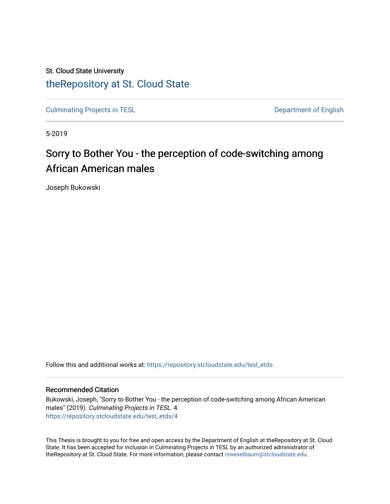# St. Cloud State University [theRepository at St. Cloud State](https://repository.stcloudstate.edu/)

[Culminating Projects in TESL](https://repository.stcloudstate.edu/tesl_etds) **Department of English** 

5-2019

# Sorry to Bother You - the perception of code-switching among African American males

Joseph Bukowski

Follow this and additional works at: [https://repository.stcloudstate.edu/tesl\\_etds](https://repository.stcloudstate.edu/tesl_etds?utm_source=repository.stcloudstate.edu%2Ftesl_etds%2F4&utm_medium=PDF&utm_campaign=PDFCoverPages) 

#### Recommended Citation

Bukowski, Joseph, "Sorry to Bother You - the perception of code-switching among African American males" (2019). Culminating Projects in TESL. 4. [https://repository.stcloudstate.edu/tesl\\_etds/4](https://repository.stcloudstate.edu/tesl_etds/4?utm_source=repository.stcloudstate.edu%2Ftesl_etds%2F4&utm_medium=PDF&utm_campaign=PDFCoverPages)

This Thesis is brought to you for free and open access by the Department of English at theRepository at St. Cloud State. It has been accepted for inclusion in Culminating Projects in TESL by an authorized administrator of theRepository at St. Cloud State. For more information, please contact [rswexelbaum@stcloudstate.edu.](mailto:rswexelbaum@stcloudstate.edu)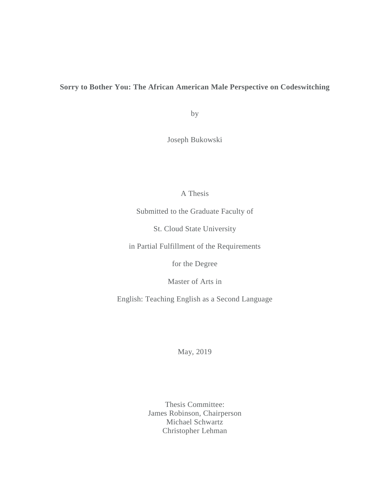## **Sorry to Bother You: The African American Male Perspective on Codeswitching**

by

Joseph Bukowski

## A Thesis

Submitted to the Graduate Faculty of

St. Cloud State University

in Partial Fulfillment of the Requirements

for the Degree

Master of Arts in

English: Teaching English as a Second Language

May, 2019

Thesis Committee: James Robinson, Chairperson Michael Schwartz Christopher Lehman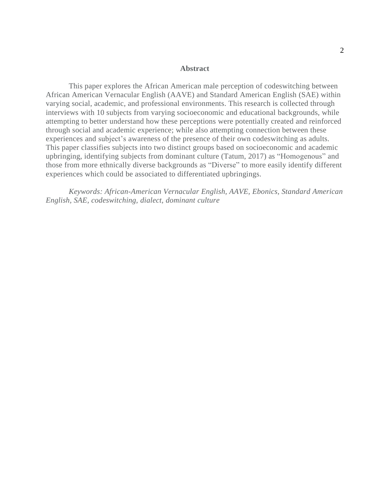#### **Abstract**

This paper explores the African American male perception of codeswitching between African American Vernacular English (AAVE) and Standard American English (SAE) within varying social, academic, and professional environments. This research is collected through interviews with 10 subjects from varying socioeconomic and educational backgrounds, while attempting to better understand how these perceptions were potentially created and reinforced through social and academic experience; while also attempting connection between these experiences and subject's awareness of the presence of their own codeswitching as adults. This paper classifies subjects into two distinct groups based on socioeconomic and academic upbringing, identifying subjects from dominant culture (Tatum, 2017) as "Homogenous" and those from more ethnically diverse backgrounds as "Diverse" to more easily identify different experiences which could be associated to differentiated upbringings.

*Keywords: African-American Vernacular English, AAVE, Ebonics, Standard American English, SAE, codeswitching, dialect, dominant culture*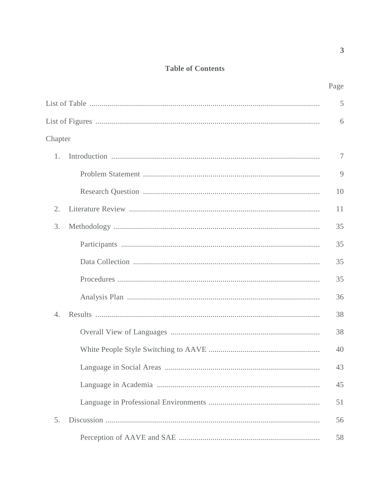## **Table of Contents**

|         | Page |
|---------|------|
|         | 5    |
|         | 6    |
| Chapter |      |
|         | 7    |
|         | 9    |
|         | 10   |
|         | 11   |
| 3.      | 35   |

| 1.               | $\tau$ |
|------------------|--------|
|                  | 9      |
|                  | 10     |
| 2.               | 11     |
| 3.               | 35     |
|                  | 35     |
|                  | 35     |
|                  | 35     |
|                  | 36     |
| $\overline{4}$ . | 38     |
|                  | 38     |
|                  | 40     |
|                  | 43     |
|                  | 45     |
|                  | 51     |
| 5.               | 56     |
|                  | 58     |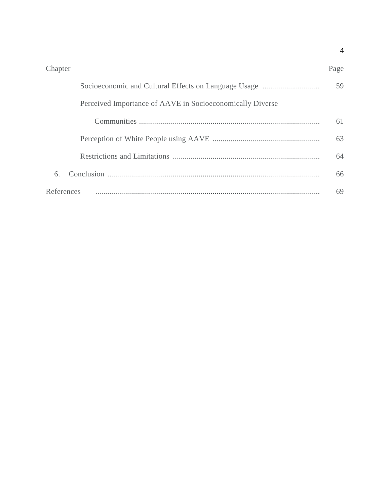#### Chapter Page

|                                                           | 59 |
|-----------------------------------------------------------|----|
| Perceived Importance of AAVE in Socioeconomically Diverse |    |
|                                                           | 61 |
|                                                           | 63 |
|                                                           | 64 |
| 6.                                                        | 66 |
| References                                                | 69 |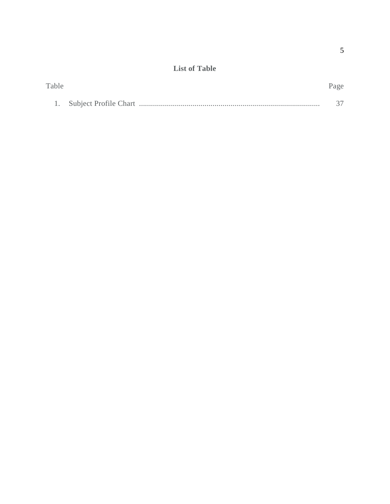## **List of Table**

| Table |  |  |
|-------|--|--|
|       |  |  |
|       |  |  |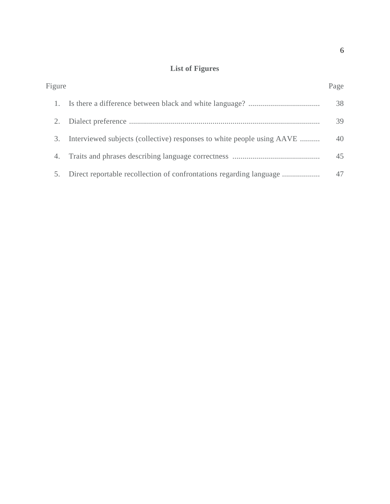# **List of Figures**

| Figure |                                                                        | Page |
|--------|------------------------------------------------------------------------|------|
|        |                                                                        | 38   |
|        |                                                                        | 39   |
| 3.     | Interviewed subjects (collective) responses to white people using AAVE | 40   |
| 4.     |                                                                        | 45   |
| 5.     |                                                                        | 47   |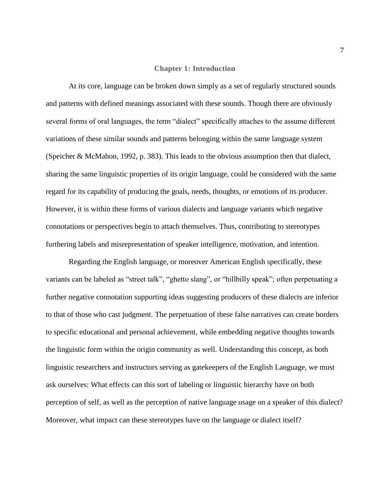#### **Chapter 1: Introduction**

At its core, language can be broken down simply as a set of regularly structured sounds and patterns with defined meanings associated with these sounds. Though there are obviously several forms of oral languages, the term "dialect" specifically attaches to the assume different variations of these similar sounds and patterns belonging within the same language system (Speicher & McMahon, 1992, p. 383). This leads to the obvious assumption then that dialect, sharing the same linguistic properties of its origin language, could be considered with the same regard for its capability of producing the goals, needs, thoughts, or emotions of its producer. However, it is within these forms of various dialects and language variants which negative connotations or perspectives begin to attach themselves. Thus, contributing to stereotypes furthering labels and misrepresentation of speaker intelligence, motivation, and intention.

Regarding the English language, or moreover American English specifically, these variants can be labeled as "street talk", "ghetto slang", or "hillbilly speak"; often perpetuating a further negative connotation supporting ideas suggesting producers of these dialects are inferior to that of those who cast judgment. The perpetuation of these false narratives can create borders to specific educational and personal achievement, while embedding negative thoughts towards the linguistic form within the origin community as well. Understanding this concept, as both linguistic researchers and instructors serving as gatekeepers of the English Language, we must ask ourselves: What effects can this sort of labeling or linguistic hierarchy have on both perception of self, as well as the perception of native language usage on a speaker of this dialect? Moreover, what impact can these stereotypes have on the language or dialect itself?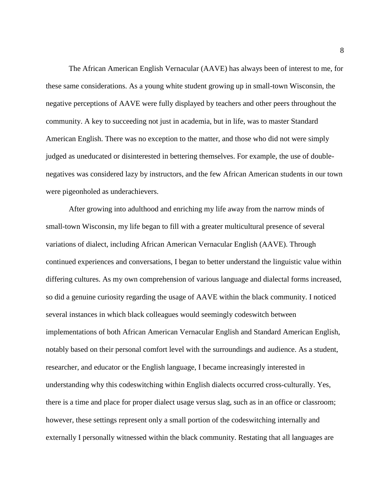The African American English Vernacular (AAVE) has always been of interest to me, for these same considerations. As a young white student growing up in small-town Wisconsin, the negative perceptions of AAVE were fully displayed by teachers and other peers throughout the community. A key to succeeding not just in academia, but in life, was to master Standard American English. There was no exception to the matter, and those who did not were simply judged as uneducated or disinterested in bettering themselves. For example, the use of doublenegatives was considered lazy by instructors, and the few African American students in our town were pigeonholed as underachievers.

After growing into adulthood and enriching my life away from the narrow minds of small-town Wisconsin, my life began to fill with a greater multicultural presence of several variations of dialect, including African American Vernacular English (AAVE). Through continued experiences and conversations, I began to better understand the linguistic value within differing cultures. As my own comprehension of various language and dialectal forms increased, so did a genuine curiosity regarding the usage of AAVE within the black community. I noticed several instances in which black colleagues would seemingly codeswitch between implementations of both African American Vernacular English and Standard American English, notably based on their personal comfort level with the surroundings and audience. As a student, researcher, and educator or the English language, I became increasingly interested in understanding why this codeswitching within English dialects occurred cross-culturally. Yes, there is a time and place for proper dialect usage versus slag, such as in an office or classroom; however, these settings represent only a small portion of the codeswitching internally and externally I personally witnessed within the black community. Restating that all languages are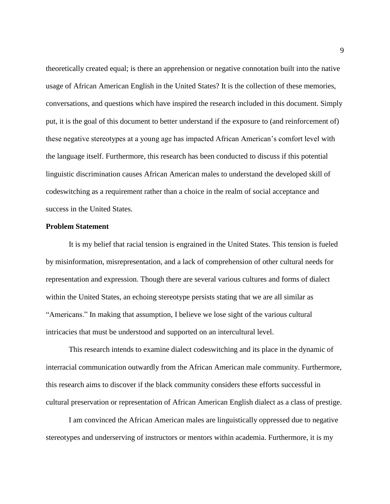theoretically created equal; is there an apprehension or negative connotation built into the native usage of African American English in the United States? It is the collection of these memories, conversations, and questions which have inspired the research included in this document. Simply put, it is the goal of this document to better understand if the exposure to (and reinforcement of) these negative stereotypes at a young age has impacted African American's comfort level with the language itself. Furthermore, this research has been conducted to discuss if this potential linguistic discrimination causes African American males to understand the developed skill of codeswitching as a requirement rather than a choice in the realm of social acceptance and success in the United States.

#### **Problem Statement**

It is my belief that racial tension is engrained in the United States. This tension is fueled by misinformation, misrepresentation, and a lack of comprehension of other cultural needs for representation and expression. Though there are several various cultures and forms of dialect within the United States, an echoing stereotype persists stating that we are all similar as "Americans." In making that assumption, I believe we lose sight of the various cultural intricacies that must be understood and supported on an intercultural level.

This research intends to examine dialect codeswitching and its place in the dynamic of interracial communication outwardly from the African American male community. Furthermore, this research aims to discover if the black community considers these efforts successful in cultural preservation or representation of African American English dialect as a class of prestige.

I am convinced the African American males are linguistically oppressed due to negative stereotypes and underserving of instructors or mentors within academia. Furthermore, it is my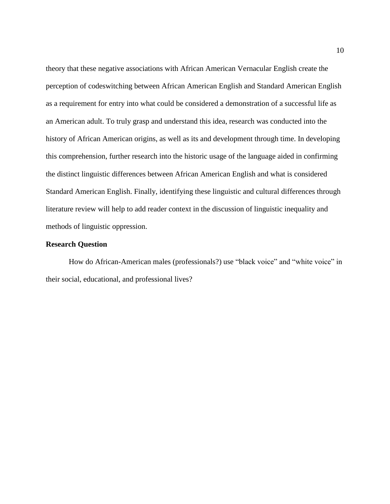theory that these negative associations with African American Vernacular English create the perception of codeswitching between African American English and Standard American English as a requirement for entry into what could be considered a demonstration of a successful life as an American adult. To truly grasp and understand this idea, research was conducted into the history of African American origins, as well as its and development through time. In developing this comprehension, further research into the historic usage of the language aided in confirming the distinct linguistic differences between African American English and what is considered Standard American English. Finally, identifying these linguistic and cultural differences through literature review will help to add reader context in the discussion of linguistic inequality and methods of linguistic oppression.

#### **Research Question**

How do African-American males (professionals?) use "black voice" and "white voice" in their social, educational, and professional lives?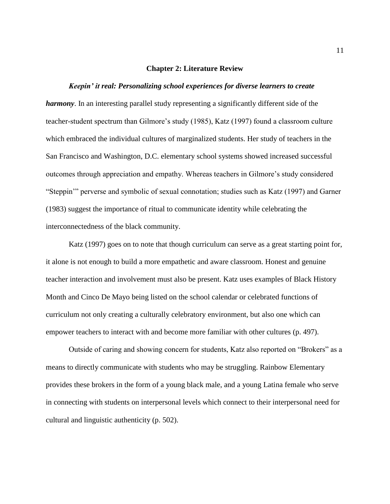#### **Chapter 2: Literature Review**

#### *Keepin' it real: Personalizing school experiences for diverse learners to create*

*harmony*. In an interesting parallel study representing a significantly different side of the teacher-student spectrum than Gilmore's study (1985), Katz (1997) found a classroom culture which embraced the individual cultures of marginalized students. Her study of teachers in the San Francisco and Washington, D.C. elementary school systems showed increased successful outcomes through appreciation and empathy. Whereas teachers in Gilmore's study considered "Steppin'" perverse and symbolic of sexual connotation; studies such as Katz (1997) and Garner (1983) suggest the importance of ritual to communicate identity while celebrating the interconnectedness of the black community.

Katz (1997) goes on to note that though curriculum can serve as a great starting point for, it alone is not enough to build a more empathetic and aware classroom. Honest and genuine teacher interaction and involvement must also be present. Katz uses examples of Black History Month and Cinco De Mayo being listed on the school calendar or celebrated functions of curriculum not only creating a culturally celebratory environment, but also one which can empower teachers to interact with and become more familiar with other cultures (p. 497).

Outside of caring and showing concern for students, Katz also reported on "Brokers" as a means to directly communicate with students who may be struggling. Rainbow Elementary provides these brokers in the form of a young black male, and a young Latina female who serve in connecting with students on interpersonal levels which connect to their interpersonal need for cultural and linguistic authenticity (p. 502).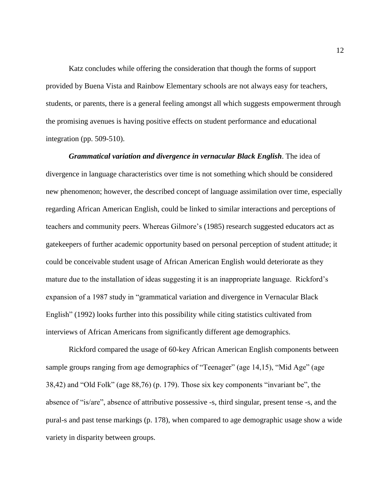Katz concludes while offering the consideration that though the forms of support provided by Buena Vista and Rainbow Elementary schools are not always easy for teachers, students, or parents, there is a general feeling amongst all which suggests empowerment through the promising avenues is having positive effects on student performance and educational integration (pp. 509-510).

*Grammatical variation and divergence in vernacular Black English*. The idea of divergence in language characteristics over time is not something which should be considered new phenomenon; however, the described concept of language assimilation over time, especially regarding African American English, could be linked to similar interactions and perceptions of teachers and community peers. Whereas Gilmore's (1985) research suggested educators act as gatekeepers of further academic opportunity based on personal perception of student attitude; it could be conceivable student usage of African American English would deteriorate as they mature due to the installation of ideas suggesting it is an inappropriate language. Rickford's expansion of a 1987 study in "grammatical variation and divergence in Vernacular Black English" (1992) looks further into this possibility while citing statistics cultivated from interviews of African Americans from significantly different age demographics.

Rickford compared the usage of 60-key African American English components between sample groups ranging from age demographics of "Teenager" (age 14,15), "Mid Age" (age 38,42) and "Old Folk" (age 88,76) (p. 179). Those six key components "invariant be", the absence of "is/are", absence of attributive possessive -s, third singular, present tense -s, and the pural-s and past tense markings (p. 178), when compared to age demographic usage show a wide variety in disparity between groups.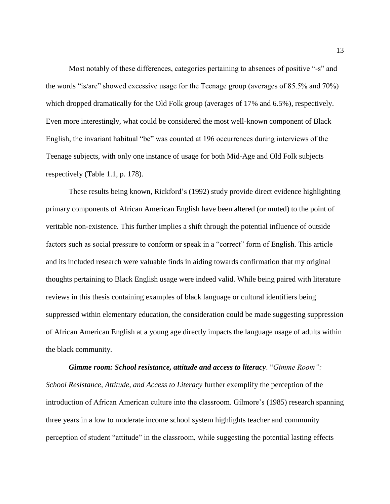Most notably of these differences, categories pertaining to absences of positive "-s" and the words "is/are" showed excessive usage for the Teenage group (averages of 85.5% and 70%) which dropped dramatically for the Old Folk group (averages of 17% and 6.5%), respectively. Even more interestingly, what could be considered the most well-known component of Black English, the invariant habitual "be" was counted at 196 occurrences during interviews of the Teenage subjects, with only one instance of usage for both Mid-Age and Old Folk subjects respectively (Table 1.1, p. 178).

These results being known, Rickford's (1992) study provide direct evidence highlighting primary components of African American English have been altered (or muted) to the point of veritable non-existence. This further implies a shift through the potential influence of outside factors such as social pressure to conform or speak in a "correct" form of English. This article and its included research were valuable finds in aiding towards confirmation that my original thoughts pertaining to Black English usage were indeed valid. While being paired with literature reviews in this thesis containing examples of black language or cultural identifiers being suppressed within elementary education, the consideration could be made suggesting suppression of African American English at a young age directly impacts the language usage of adults within the black community.

*Gimme room: School resistance, attitude and access to literacy*. "*Gimme Room": School Resistance, Attitude, and Access to Literacy* further exemplify the perception of the introduction of African American culture into the classroom. Gilmore's (1985) research spanning three years in a low to moderate income school system highlights teacher and community perception of student "attitude" in the classroom, while suggesting the potential lasting effects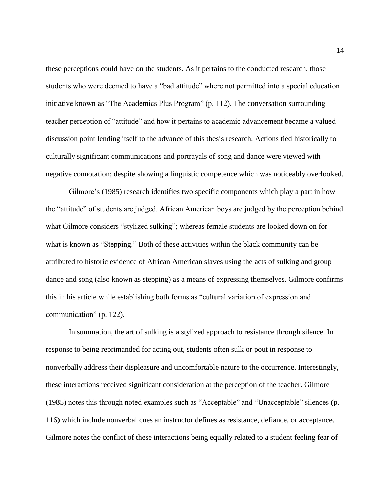these perceptions could have on the students. As it pertains to the conducted research, those students who were deemed to have a "bad attitude" where not permitted into a special education initiative known as "The Academics Plus Program" (p. 112). The conversation surrounding teacher perception of "attitude" and how it pertains to academic advancement became a valued discussion point lending itself to the advance of this thesis research. Actions tied historically to culturally significant communications and portrayals of song and dance were viewed with negative connotation; despite showing a linguistic competence which was noticeably overlooked.

Gilmore's (1985) research identifies two specific components which play a part in how the "attitude" of students are judged. African American boys are judged by the perception behind what Gilmore considers "stylized sulking"; whereas female students are looked down on for what is known as "Stepping." Both of these activities within the black community can be attributed to historic evidence of African American slaves using the acts of sulking and group dance and song (also known as stepping) as a means of expressing themselves. Gilmore confirms this in his article while establishing both forms as "cultural variation of expression and communication" (p. 122).

In summation, the art of sulking is a stylized approach to resistance through silence. In response to being reprimanded for acting out, students often sulk or pout in response to nonverbally address their displeasure and uncomfortable nature to the occurrence. Interestingly, these interactions received significant consideration at the perception of the teacher. Gilmore (1985) notes this through noted examples such as "Acceptable" and "Unacceptable" silences (p. 116) which include nonverbal cues an instructor defines as resistance, defiance, or acceptance. Gilmore notes the conflict of these interactions being equally related to a student feeling fear of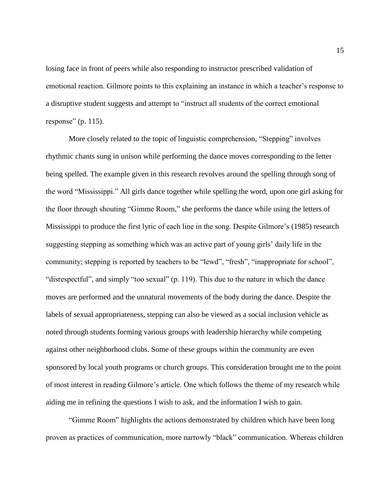losing face in front of peers while also responding to instructor prescribed validation of emotional reaction. Gilmore points to this explaining an instance in which a teacher's response to a disruptive student suggests and attempt to "instruct all students of the correct emotional response" (p. 115).

More closely related to the topic of linguistic comprehension, "Stepping" involves rhythmic chants sung in unison while performing the dance moves corresponding to the letter being spelled. The example given in this research revolves around the spelling through song of the word "Mississippi." All girls dance together while spelling the word, upon one girl asking for the floor through shouting "Gimme Room," she performs the dance while using the letters of Mississippi to produce the first lyric of each line in the song. Despite Gilmore's (1985) research suggesting stepping as something which was an active part of young girls' daily life in the community; stepping is reported by teachers to be "lewd", "fresh", "inappropriate for school", "disrespectful", and simply "too sexual" (p. 119). This due to the nature in which the dance moves are performed and the unnatural movements of the body during the dance. Despite the labels of sexual appropriateness, stepping can also be viewed as a social inclusion vehicle as noted through students forming various groups with leadership hierarchy while competing against other neighborhood clubs. Some of these groups within the community are even sponsored by local youth programs or church groups. This consideration brought me to the point of most interest in reading Gilmore's article. One which follows the theme of my research while aiding me in refining the questions I wish to ask, and the information I wish to gain.

"Gimme Room" highlights the actions demonstrated by children which have been long proven as practices of communication, more narrowly "black" communication. Whereas children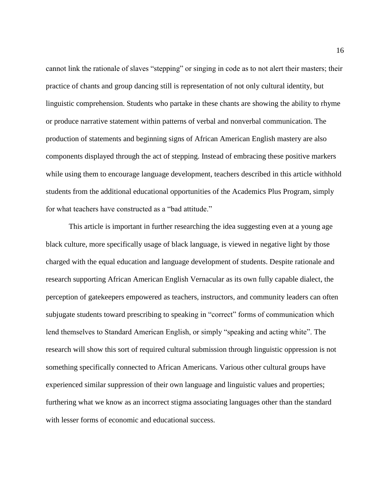cannot link the rationale of slaves "stepping" or singing in code as to not alert their masters; their practice of chants and group dancing still is representation of not only cultural identity, but linguistic comprehension. Students who partake in these chants are showing the ability to rhyme or produce narrative statement within patterns of verbal and nonverbal communication. The production of statements and beginning signs of African American English mastery are also components displayed through the act of stepping. Instead of embracing these positive markers while using them to encourage language development, teachers described in this article withhold students from the additional educational opportunities of the Academics Plus Program, simply for what teachers have constructed as a "bad attitude."

This article is important in further researching the idea suggesting even at a young age black culture, more specifically usage of black language, is viewed in negative light by those charged with the equal education and language development of students. Despite rationale and research supporting African American English Vernacular as its own fully capable dialect, the perception of gatekeepers empowered as teachers, instructors, and community leaders can often subjugate students toward prescribing to speaking in "correct" forms of communication which lend themselves to Standard American English, or simply "speaking and acting white". The research will show this sort of required cultural submission through linguistic oppression is not something specifically connected to African Americans. Various other cultural groups have experienced similar suppression of their own language and linguistic values and properties; furthering what we know as an incorrect stigma associating languages other than the standard with lesser forms of economic and educational success.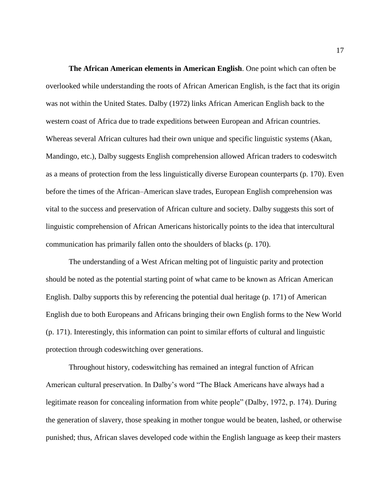**The African American elements in American English**. One point which can often be overlooked while understanding the roots of African American English, is the fact that its origin was not within the United States. Dalby (1972) links African American English back to the western coast of Africa due to trade expeditions between European and African countries. Whereas several African cultures had their own unique and specific linguistic systems (Akan, Mandingo, etc.), Dalby suggests English comprehension allowed African traders to codeswitch as a means of protection from the less linguistically diverse European counterparts (p. 170). Even before the times of the African–American slave trades, European English comprehension was vital to the success and preservation of African culture and society. Dalby suggests this sort of linguistic comprehension of African Americans historically points to the idea that intercultural communication has primarily fallen onto the shoulders of blacks (p. 170).

The understanding of a West African melting pot of linguistic parity and protection should be noted as the potential starting point of what came to be known as African American English. Dalby supports this by referencing the potential dual heritage (p. 171) of American English due to both Europeans and Africans bringing their own English forms to the New World (p. 171). Interestingly, this information can point to similar efforts of cultural and linguistic protection through codeswitching over generations.

Throughout history, codeswitching has remained an integral function of African American cultural preservation. In Dalby's word "The Black Americans have always had a legitimate reason for concealing information from white people" (Dalby, 1972, p. 174). During the generation of slavery, those speaking in mother tongue would be beaten, lashed, or otherwise punished; thus, African slaves developed code within the English language as keep their masters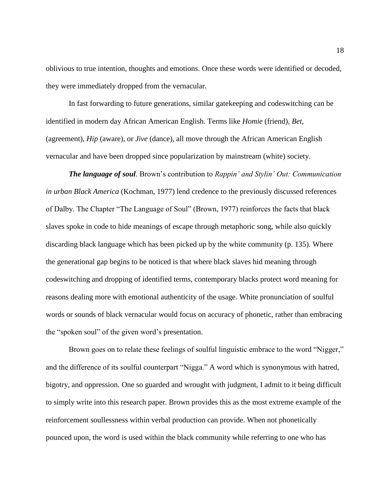oblivious to true intention, thoughts and emotions. Once these words were identified or decoded, they were immediately dropped from the vernacular.

In fast forwarding to future generations, similar gatekeeping and codeswitching can be identified in modern day African American English. Terms like *Homie* (friend), *Bet,*  (agreement), *Hip* (aware), or *Jive* (dance), all move through the African American English vernacular and have been dropped since popularization by mainstream (white) society.

*The language of soul*. Brown's contribution to *Rappin' and Stylin' Out: Communication in urban Black America* (Kochman, 1977) lend credence to the previously discussed references of Dalby. The Chapter "The Language of Soul" (Brown, 1977) reinforces the facts that black slaves spoke in code to hide meanings of escape through metaphoric song, while also quickly discarding black language which has been picked up by the white community (p. 135). Where the generational gap begins to be noticed is that where black slaves hid meaning through codeswitching and dropping of identified terms, contemporary blacks protect word meaning for reasons dealing more with emotional authenticity of the usage. White pronunciation of soulful words or sounds of black vernacular would focus on accuracy of phonetic, rather than embracing the "spoken soul" of the given word's presentation.

Brown goes on to relate these feelings of soulful linguistic embrace to the word "Nigger," and the difference of its soulful counterpart "Nigga." A word which is synonymous with hatred, bigotry, and oppression. One so guarded and wrought with judgment, I admit to it being difficult to simply write into this research paper. Brown provides this as the most extreme example of the reinforcement soullessness within verbal production can provide. When not phonetically pounced upon, the word is used within the black community while referring to one who has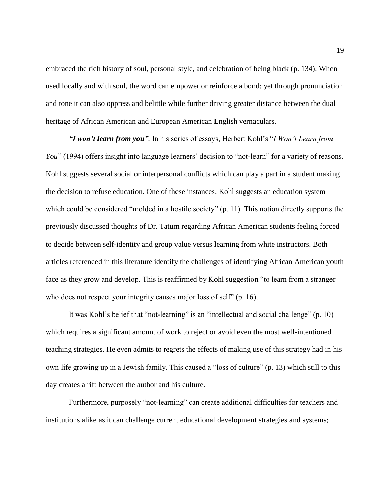embraced the rich history of soul, personal style, and celebration of being black (p. 134). When used locally and with soul, the word can empower or reinforce a bond; yet through pronunciation and tone it can also oppress and belittle while further driving greater distance between the dual heritage of African American and European American English vernaculars.

*"I won't learn from you".* In his series of essays, Herbert Kohl's "*I Won't Learn from You*" (1994) offers insight into language learners' decision to "not-learn" for a variety of reasons. Kohl suggests several social or interpersonal conflicts which can play a part in a student making the decision to refuse education. One of these instances, Kohl suggests an education system which could be considered "molded in a hostile society" (p. 11). This notion directly supports the previously discussed thoughts of Dr. Tatum regarding African American students feeling forced to decide between self-identity and group value versus learning from white instructors. Both articles referenced in this literature identify the challenges of identifying African American youth face as they grow and develop. This is reaffirmed by Kohl suggestion "to learn from a stranger who does not respect your integrity causes major loss of self" (p. 16).

It was Kohl's belief that "not-learning" is an "intellectual and social challenge" (p. 10) which requires a significant amount of work to reject or avoid even the most well-intentioned teaching strategies. He even admits to regrets the effects of making use of this strategy had in his own life growing up in a Jewish family. This caused a "loss of culture" (p. 13) which still to this day creates a rift between the author and his culture.

Furthermore, purposely "not-learning" can create additional difficulties for teachers and institutions alike as it can challenge current educational development strategies and systems;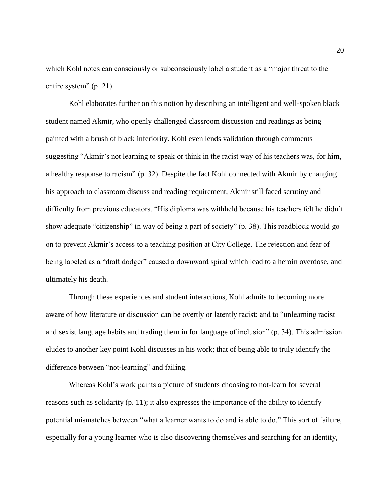which Kohl notes can consciously or subconsciously label a student as a "major threat to the entire system" (p. 21).

Kohl elaborates further on this notion by describing an intelligent and well-spoken black student named Akmir, who openly challenged classroom discussion and readings as being painted with a brush of black inferiority. Kohl even lends validation through comments suggesting "Akmir's not learning to speak or think in the racist way of his teachers was, for him, a healthy response to racism" (p. 32). Despite the fact Kohl connected with Akmir by changing his approach to classroom discuss and reading requirement, Akmir still faced scrutiny and difficulty from previous educators. "His diploma was withheld because his teachers felt he didn't show adequate "citizenship" in way of being a part of society" (p. 38). This roadblock would go on to prevent Akmir's access to a teaching position at City College. The rejection and fear of being labeled as a "draft dodger" caused a downward spiral which lead to a heroin overdose, and ultimately his death.

Through these experiences and student interactions, Kohl admits to becoming more aware of how literature or discussion can be overtly or latently racist; and to "unlearning racist and sexist language habits and trading them in for language of inclusion" (p. 34). This admission eludes to another key point Kohl discusses in his work; that of being able to truly identify the difference between "not-learning" and failing.

Whereas Kohl's work paints a picture of students choosing to not-learn for several reasons such as solidarity (p. 11); it also expresses the importance of the ability to identify potential mismatches between "what a learner wants to do and is able to do." This sort of failure, especially for a young learner who is also discovering themselves and searching for an identity,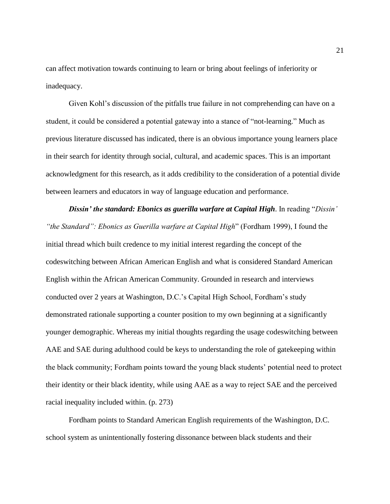can affect motivation towards continuing to learn or bring about feelings of inferiority or inadequacy.

Given Kohl's discussion of the pitfalls true failure in not comprehending can have on a student, it could be considered a potential gateway into a stance of "not-learning." Much as previous literature discussed has indicated, there is an obvious importance young learners place in their search for identity through social, cultural, and academic spaces. This is an important acknowledgment for this research, as it adds credibility to the consideration of a potential divide between learners and educators in way of language education and performance.

*Dissin' the standard: Ebonics as guerilla warfare at Capital High*. In reading "*Dissin' "the Standard": Ebonics as Guerilla warfare at Capital High*" (Fordham 1999), I found the initial thread which built credence to my initial interest regarding the concept of the codeswitching between African American English and what is considered Standard American English within the African American Community. Grounded in research and interviews conducted over 2 years at Washington, D.C.'s Capital High School, Fordham's study demonstrated rationale supporting a counter position to my own beginning at a significantly younger demographic. Whereas my initial thoughts regarding the usage codeswitching between AAE and SAE during adulthood could be keys to understanding the role of gatekeeping within the black community; Fordham points toward the young black students' potential need to protect their identity or their black identity, while using AAE as a way to reject SAE and the perceived racial inequality included within. (p. 273)

Fordham points to Standard American English requirements of the Washington, D.C. school system as unintentionally fostering dissonance between black students and their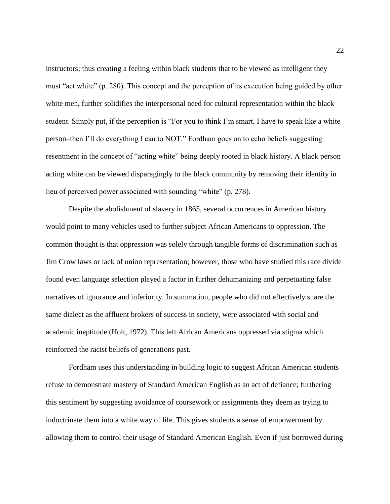instructors; thus creating a feeling within black students that to be viewed as intelligent they must "act white" (p. 280). This concept and the perception of its execution being guided by other white men, further solidifies the interpersonal need for cultural representation within the black student. Simply put, if the perception is "For you to think I'm smart, I have to speak like a white person–then I'll do everything I can to NOT." Fordham goes on to echo beliefs suggesting resentment in the concept of "acting white" being deeply rooted in black history. A black person acting white can be viewed disparagingly to the black community by removing their identity in lieu of perceived power associated with sounding "white" (p. 278).

Despite the abolishment of slavery in 1865, several occurrences in American history would point to many vehicles used to further subject African Americans to oppression. The common thought is that oppression was solely through tangible forms of discrimination such as Jim Crow laws or lack of union representation; however, those who have studied this race divide found even language selection played a factor in further dehumanizing and perpetuating false narratives of ignorance and inferiority. In summation, people who did not effectively share the same dialect as the affluent brokers of success in society, were associated with social and academic ineptitude (Holt, 1972). This left African Americans oppressed via stigma which reinforced the racist beliefs of generations past.

Fordham uses this understanding in building logic to suggest African American students refuse to demonstrate mastery of Standard American English as an act of defiance; furthering this sentiment by suggesting avoidance of coursework or assignments they deem as trying to indoctrinate them into a white way of life. This gives students a sense of empowerment by allowing them to control their usage of Standard American English. Even if just borrowed during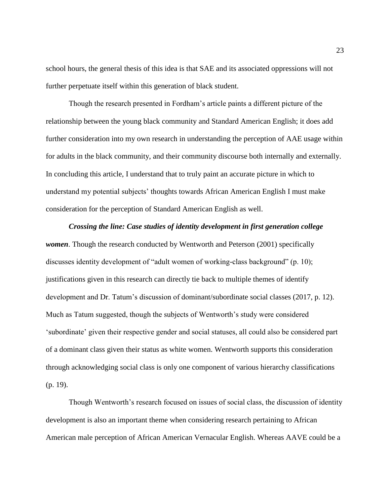school hours, the general thesis of this idea is that SAE and its associated oppressions will not further perpetuate itself within this generation of black student.

Though the research presented in Fordham's article paints a different picture of the relationship between the young black community and Standard American English; it does add further consideration into my own research in understanding the perception of AAE usage within for adults in the black community, and their community discourse both internally and externally. In concluding this article, I understand that to truly paint an accurate picture in which to understand my potential subjects' thoughts towards African American English I must make consideration for the perception of Standard American English as well.

*Crossing the line: Case studies of identity development in first generation college women*. Though the research conducted by Wentworth and Peterson (2001) specifically discusses identity development of "adult women of working-class background" (p. 10); justifications given in this research can directly tie back to multiple themes of identify development and Dr. Tatum's discussion of dominant/subordinate social classes (2017, p. 12). Much as Tatum suggested, though the subjects of Wentworth's study were considered 'subordinate' given their respective gender and social statuses, all could also be considered part of a dominant class given their status as white women. Wentworth supports this consideration through acknowledging social class is only one component of various hierarchy classifications (p. 19).

Though Wentworth's research focused on issues of social class, the discussion of identity development is also an important theme when considering research pertaining to African American male perception of African American Vernacular English. Whereas AAVE could be a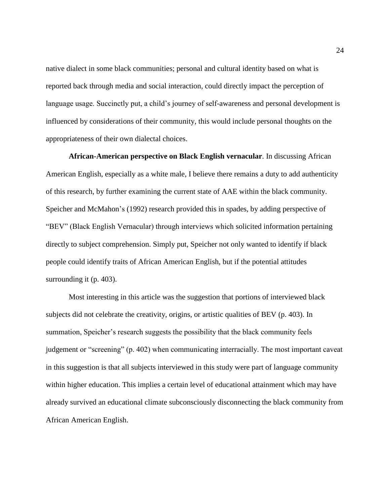native dialect in some black communities; personal and cultural identity based on what is reported back through media and social interaction, could directly impact the perception of language usage. Succinctly put, a child's journey of self-awareness and personal development is influenced by considerations of their community, this would include personal thoughts on the appropriateness of their own dialectal choices.

**African-American perspective on Black English vernacular**. In discussing African American English, especially as a white male, I believe there remains a duty to add authenticity of this research, by further examining the current state of AAE within the black community. Speicher and McMahon's (1992) research provided this in spades, by adding perspective of "BEV" (Black English Vernacular) through interviews which solicited information pertaining directly to subject comprehension. Simply put, Speicher not only wanted to identify if black people could identify traits of African American English, but if the potential attitudes surrounding it (p. 403).

Most interesting in this article was the suggestion that portions of interviewed black subjects did not celebrate the creativity, origins, or artistic qualities of BEV (p. 403). In summation, Speicher's research suggests the possibility that the black community feels judgement or "screening" (p. 402) when communicating interracially. The most important caveat in this suggestion is that all subjects interviewed in this study were part of language community within higher education. This implies a certain level of educational attainment which may have already survived an educational climate subconsciously disconnecting the black community from African American English.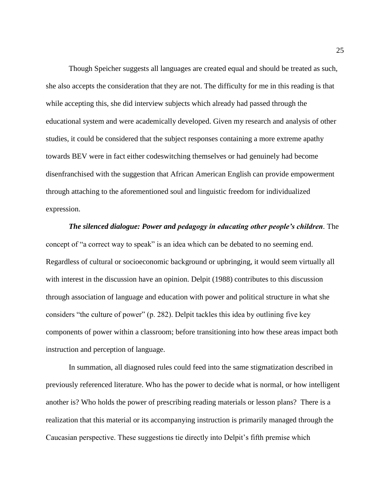Though Speicher suggests all languages are created equal and should be treated as such, she also accepts the consideration that they are not. The difficulty for me in this reading is that while accepting this, she did interview subjects which already had passed through the educational system and were academically developed. Given my research and analysis of other studies, it could be considered that the subject responses containing a more extreme apathy towards BEV were in fact either codeswitching themselves or had genuinely had become disenfranchised with the suggestion that African American English can provide empowerment through attaching to the aforementioned soul and linguistic freedom for individualized expression.

*The silenced dialogue: Power and pedagogy in educating other people's children.* The concept of "a correct way to speak" is an idea which can be debated to no seeming end. Regardless of cultural or socioeconomic background or upbringing, it would seem virtually all with interest in the discussion have an opinion. Delpit (1988) contributes to this discussion through association of language and education with power and political structure in what she considers "the culture of power" (p. 282). Delpit tackles this idea by outlining five key components of power within a classroom; before transitioning into how these areas impact both instruction and perception of language.

In summation, all diagnosed rules could feed into the same stigmatization described in previously referenced literature. Who has the power to decide what is normal, or how intelligent another is? Who holds the power of prescribing reading materials or lesson plans? There is a realization that this material or its accompanying instruction is primarily managed through the Caucasian perspective. These suggestions tie directly into Delpit's fifth premise which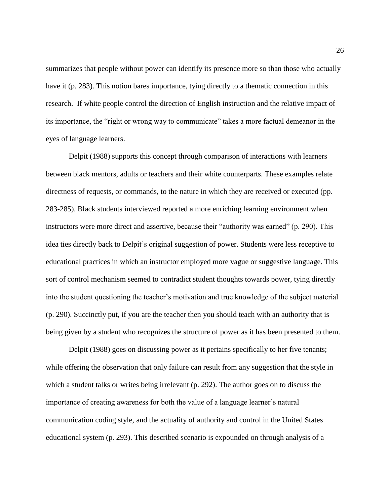summarizes that people without power can identify its presence more so than those who actually have it (p. 283). This notion bares importance, tying directly to a thematic connection in this research. If white people control the direction of English instruction and the relative impact of its importance, the "right or wrong way to communicate" takes a more factual demeanor in the eyes of language learners.

Delpit (1988) supports this concept through comparison of interactions with learners between black mentors, adults or teachers and their white counterparts. These examples relate directness of requests, or commands, to the nature in which they are received or executed (pp. 283-285). Black students interviewed reported a more enriching learning environment when instructors were more direct and assertive, because their "authority was earned" (p. 290). This idea ties directly back to Delpit's original suggestion of power. Students were less receptive to educational practices in which an instructor employed more vague or suggestive language. This sort of control mechanism seemed to contradict student thoughts towards power, tying directly into the student questioning the teacher's motivation and true knowledge of the subject material (p. 290). Succinctly put, if you are the teacher then you should teach with an authority that is being given by a student who recognizes the structure of power as it has been presented to them.

Delpit (1988) goes on discussing power as it pertains specifically to her five tenants; while offering the observation that only failure can result from any suggestion that the style in which a student talks or writes being irrelevant (p. 292). The author goes on to discuss the importance of creating awareness for both the value of a language learner's natural communication coding style, and the actuality of authority and control in the United States educational system (p. 293). This described scenario is expounded on through analysis of a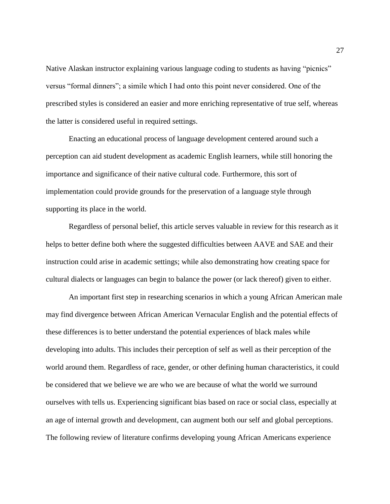Native Alaskan instructor explaining various language coding to students as having "picnics" versus "formal dinners"; a simile which I had onto this point never considered. One of the prescribed styles is considered an easier and more enriching representative of true self, whereas the latter is considered useful in required settings.

Enacting an educational process of language development centered around such a perception can aid student development as academic English learners, while still honoring the importance and significance of their native cultural code. Furthermore, this sort of implementation could provide grounds for the preservation of a language style through supporting its place in the world.

Regardless of personal belief, this article serves valuable in review for this research as it helps to better define both where the suggested difficulties between AAVE and SAE and their instruction could arise in academic settings; while also demonstrating how creating space for cultural dialects or languages can begin to balance the power (or lack thereof) given to either.

An important first step in researching scenarios in which a young African American male may find divergence between African American Vernacular English and the potential effects of these differences is to better understand the potential experiences of black males while developing into adults. This includes their perception of self as well as their perception of the world around them. Regardless of race, gender, or other defining human characteristics, it could be considered that we believe we are who we are because of what the world we surround ourselves with tells us. Experiencing significant bias based on race or social class, especially at an age of internal growth and development, can augment both our self and global perceptions. The following review of literature confirms developing young African Americans experience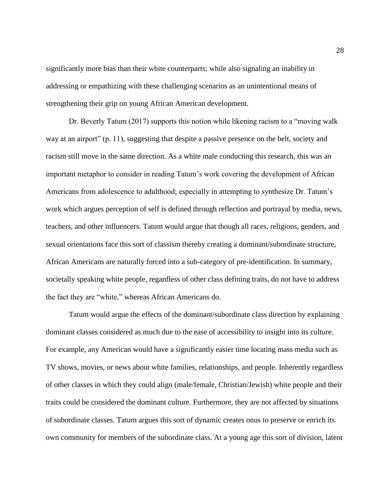significantly more bias than their white counterparts; while also signaling an inability in addressing or empathizing with these challenging scenarios as an unintentional means of strengthening their grip on young African American development.

Dr. Beverly Tatum (2017) supports this notion while likening racism to a "moving walk way at an airport" (p. 11), suggesting that despite a passive presence on the belt, society and racism still move in the same direction. As a white male conducting this research, this was an important metaphor to consider in reading Tatum's work covering the development of African Americans from adolescence to adulthood; especially in attempting to synthesize Dr. Tatum's work which argues perception of self is defined through reflection and portrayal by media, news, teachers, and other influencers. Tatum would argue that though all races, religions, genders, and sexual orientations face this sort of classism thereby creating a dominant/subordinate structure, African Americans are naturally forced into a sub-category of pre-identification. In summary, societally speaking white people, regardless of other class defining traits, do not have to address the fact they are "white," whereas African Americans do.

Tatum would argue the effects of the dominant/subordinate class direction by explaining dominant classes considered as much due to the ease of accessibility to insight into its culture. For example, any American would have a significantly easier time locating mass media such as TV shows, movies, or news about white families, relationships, and people. Inherently regardless of other classes in which they could align (male/female, Christian/Jewish) white people and their traits could be considered the dominant culture. Furthermore, they are not affected by situations of subordinate classes. Tatum argues this sort of dynamic creates onus to preserve or enrich its own community for members of the subordinate class. At a young age this sort of division, latent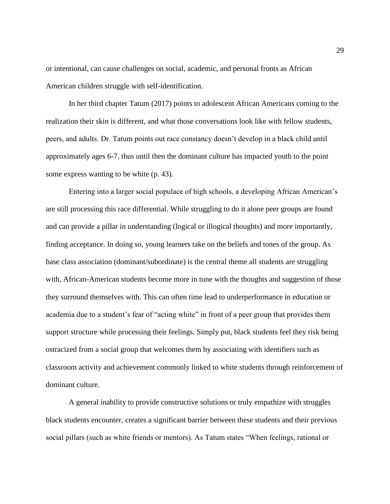or intentional, can cause challenges on social, academic, and personal fronts as African American children struggle with self-identification.

In her third chapter Tatum (2017) points to adolescent African Americans coming to the realization their skin is different, and what those conversations look like with fellow students, peers, and adults. Dr. Tatum points out race constancy doesn't develop in a black child until approximately ages 6-7, thus until then the dominant culture has impacted youth to the point some express wanting to be white (p. 43).

Entering into a larger social populace of high schools, a developing African American's are still processing this race differential. While struggling to do it alone peer groups are found and can provide a pillar in understanding (logical or illogical thoughts) and more importantly, finding acceptance. In doing so, young learners take on the beliefs and tones of the group. As base class association (dominant/subordinate) is the central theme all students are struggling with, African-American students become more in tune with the thoughts and suggestion of those they surround themselves with. This can often time lead to underperformance in education or academia due to a student's fear of "acting white" in front of a peer group that provides them support structure while processing their feelings. Simply put, black students feel they risk being ostracized from a social group that welcomes them by associating with identifiers such as classroom activity and achievement commonly linked to white students through reinforcement of dominant culture.

A general inability to provide constructive solutions or truly empathize with struggles black students encounter, creates a significant barrier between these students and their previous social pillars (such as white friends or mentors). As Tatum states "When feelings, rational or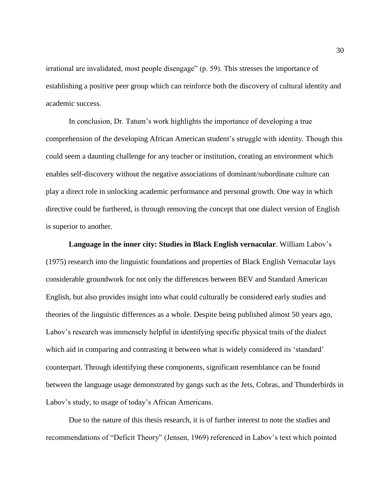irrational are invalidated, most people disengage" (p. 59). This stresses the importance of establishing a positive peer group which can reinforce both the discovery of cultural identity and academic success.

In conclusion, Dr. Tatum's work highlights the importance of developing a true comprehension of the developing African American student's struggle with identity. Though this could seem a daunting challenge for any teacher or institution, creating an environment which enables self-discovery without the negative associations of dominant/subordinate culture can play a direct role in unlocking academic performance and personal growth. One way in which directive could be furthered, is through removing the concept that one dialect version of English is superior to another.

**Language in the inner city: Studies in Black English vernacular**. William Labov's (1975) research into the linguistic foundations and properties of Black English Vernacular lays considerable groundwork for not only the differences between BEV and Standard American English, but also provides insight into what could culturally be considered early studies and theories of the linguistic differences as a whole. Despite being published almost 50 years ago, Labov's research was immensely helpful in identifying specific physical traits of the dialect which aid in comparing and contrasting it between what is widely considered its 'standard' counterpart. Through identifying these components, significant resemblance can be found between the language usage demonstrated by gangs such as the Jets, Cobras, and Thunderbirds in Labov's study, to usage of today's African Americans.

Due to the nature of this thesis research, it is of further interest to note the studies and recommendations of "Deficit Theory" (Jensen, 1969) referenced in Labov's text which pointed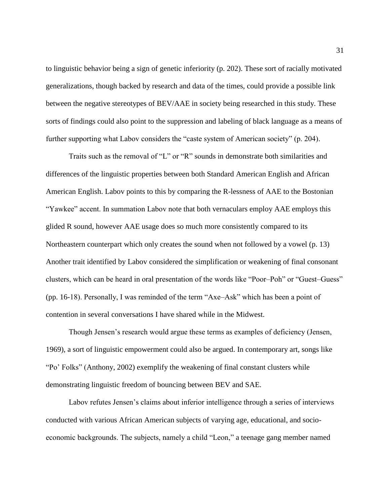to linguistic behavior being a sign of genetic inferiority (p. 202). These sort of racially motivated generalizations, though backed by research and data of the times, could provide a possible link between the negative stereotypes of BEV/AAE in society being researched in this study. These sorts of findings could also point to the suppression and labeling of black language as a means of further supporting what Labov considers the "caste system of American society" (p. 204).

Traits such as the removal of "L" or "R" sounds in demonstrate both similarities and differences of the linguistic properties between both Standard American English and African American English. Labov points to this by comparing the R-lessness of AAE to the Bostonian "Yawkee" accent. In summation Labov note that both vernaculars employ AAE employs this glided R sound, however AAE usage does so much more consistently compared to its Northeastern counterpart which only creates the sound when not followed by a vowel (p. 13) Another trait identified by Labov considered the simplification or weakening of final consonant clusters, which can be heard in oral presentation of the words like "Poor–Poh" or "Guest–Guess" (pp. 16-18). Personally, I was reminded of the term "Axe–Ask" which has been a point of contention in several conversations I have shared while in the Midwest.

Though Jensen's research would argue these terms as examples of deficiency (Jensen, 1969), a sort of linguistic empowerment could also be argued. In contemporary art, songs like "Po' Folks" (Anthony, 2002) exemplify the weakening of final constant clusters while demonstrating linguistic freedom of bouncing between BEV and SAE.

Labov refutes Jensen's claims about inferior intelligence through a series of interviews conducted with various African American subjects of varying age, educational, and socioeconomic backgrounds. The subjects, namely a child "Leon," a teenage gang member named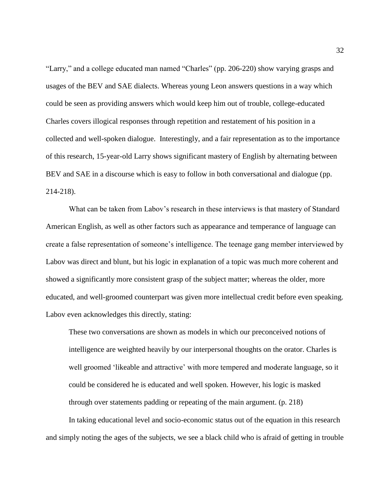"Larry," and a college educated man named "Charles" (pp. 206-220) show varying grasps and usages of the BEV and SAE dialects. Whereas young Leon answers questions in a way which could be seen as providing answers which would keep him out of trouble, college-educated Charles covers illogical responses through repetition and restatement of his position in a collected and well-spoken dialogue. Interestingly, and a fair representation as to the importance of this research, 15-year-old Larry shows significant mastery of English by alternating between BEV and SAE in a discourse which is easy to follow in both conversational and dialogue (pp. 214-218).

What can be taken from Labov's research in these interviews is that mastery of Standard American English, as well as other factors such as appearance and temperance of language can create a false representation of someone's intelligence. The teenage gang member interviewed by Labov was direct and blunt, but his logic in explanation of a topic was much more coherent and showed a significantly more consistent grasp of the subject matter; whereas the older, more educated, and well-groomed counterpart was given more intellectual credit before even speaking. Labov even acknowledges this directly, stating:

These two conversations are shown as models in which our preconceived notions of intelligence are weighted heavily by our interpersonal thoughts on the orator. Charles is well groomed 'likeable and attractive' with more tempered and moderate language, so it could be considered he is educated and well spoken. However, his logic is masked through over statements padding or repeating of the main argument. (p. 218)

In taking educational level and socio-economic status out of the equation in this research and simply noting the ages of the subjects, we see a black child who is afraid of getting in trouble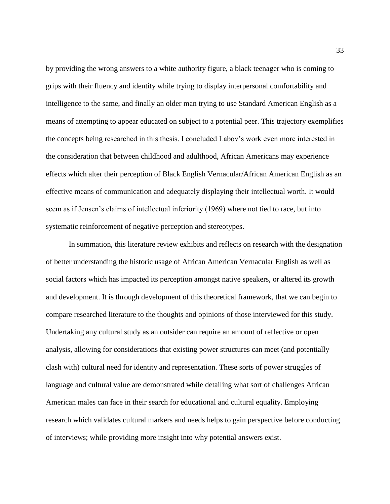by providing the wrong answers to a white authority figure, a black teenager who is coming to grips with their fluency and identity while trying to display interpersonal comfortability and intelligence to the same, and finally an older man trying to use Standard American English as a means of attempting to appear educated on subject to a potential peer. This trajectory exemplifies the concepts being researched in this thesis. I concluded Labov's work even more interested in the consideration that between childhood and adulthood, African Americans may experience effects which alter their perception of Black English Vernacular/African American English as an effective means of communication and adequately displaying their intellectual worth. It would seem as if Jensen's claims of intellectual inferiority (1969) where not tied to race, but into systematic reinforcement of negative perception and stereotypes.

In summation, this literature review exhibits and reflects on research with the designation of better understanding the historic usage of African American Vernacular English as well as social factors which has impacted its perception amongst native speakers, or altered its growth and development. It is through development of this theoretical framework, that we can begin to compare researched literature to the thoughts and opinions of those interviewed for this study. Undertaking any cultural study as an outsider can require an amount of reflective or open analysis, allowing for considerations that existing power structures can meet (and potentially clash with) cultural need for identity and representation. These sorts of power struggles of language and cultural value are demonstrated while detailing what sort of challenges African American males can face in their search for educational and cultural equality. Employing research which validates cultural markers and needs helps to gain perspective before conducting of interviews; while providing more insight into why potential answers exist.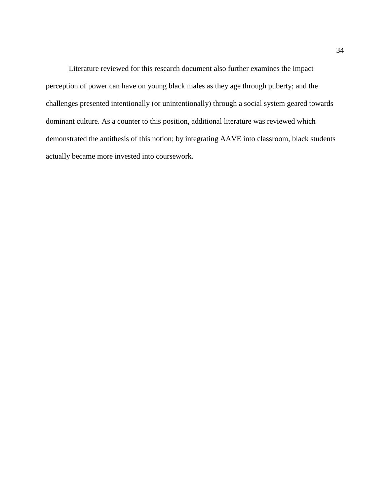Literature reviewed for this research document also further examines the impact perception of power can have on young black males as they age through puberty; and the challenges presented intentionally (or unintentionally) through a social system geared towards dominant culture. As a counter to this position, additional literature was reviewed which demonstrated the antithesis of this notion; by integrating AAVE into classroom, black students actually became more invested into coursework.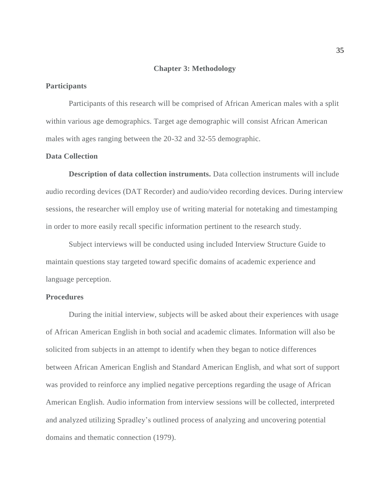#### **Chapter 3: Methodology**

#### **Participants**

Participants of this research will be comprised of African American males with a split within various age demographics. Target age demographic will consist African American males with ages ranging between the 20-32 and 32-55 demographic.

#### **Data Collection**

**Description of data collection instruments.** Data collection instruments will include audio recording devices (DAT Recorder) and audio/video recording devices. During interview sessions, the researcher will employ use of writing material for notetaking and timestamping in order to more easily recall specific information pertinent to the research study.

Subject interviews will be conducted using included Interview Structure Guide to maintain questions stay targeted toward specific domains of academic experience and language perception.

### **Procedures**

During the initial interview, subjects will be asked about their experiences with usage of African American English in both social and academic climates. Information will also be solicited from subjects in an attempt to identify when they began to notice differences between African American English and Standard American English, and what sort of support was provided to reinforce any implied negative perceptions regarding the usage of African American English. Audio information from interview sessions will be collected, interpreted and analyzed utilizing Spradley's outlined process of analyzing and uncovering potential domains and thematic connection (1979).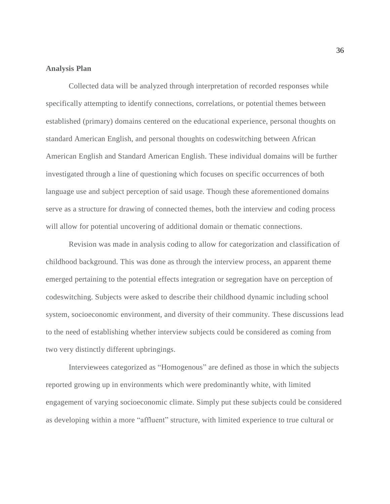## **Analysis Plan**

Collected data will be analyzed through interpretation of recorded responses while specifically attempting to identify connections, correlations, or potential themes between established (primary) domains centered on the educational experience, personal thoughts on standard American English, and personal thoughts on codeswitching between African American English and Standard American English. These individual domains will be further investigated through a line of questioning which focuses on specific occurrences of both language use and subject perception of said usage. Though these aforementioned domains serve as a structure for drawing of connected themes, both the interview and coding process will allow for potential uncovering of additional domain or thematic connections.

Revision was made in analysis coding to allow for categorization and classification of childhood background. This was done as through the interview process, an apparent theme emerged pertaining to the potential effects integration or segregation have on perception of codeswitching. Subjects were asked to describe their childhood dynamic including school system, socioeconomic environment, and diversity of their community. These discussions lead to the need of establishing whether interview subjects could be considered as coming from two very distinctly different upbringings.

Interviewees categorized as "Homogenous" are defined as those in which the subjects reported growing up in environments which were predominantly white, with limited engagement of varying socioeconomic climate. Simply put these subjects could be considered as developing within a more "affluent" structure, with limited experience to true cultural or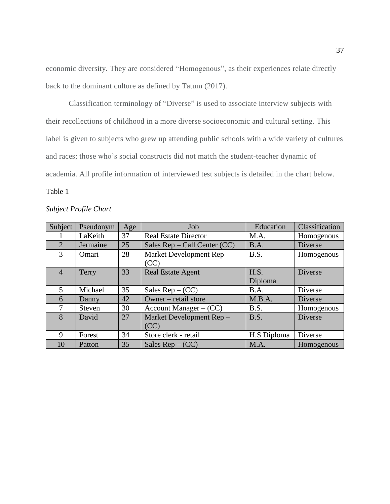economic diversity. They are considered "Homogenous", as their experiences relate directly back to the dominant culture as defined by Tatum (2017).

Classification terminology of "Diverse" is used to associate interview subjects with their recollections of childhood in a more diverse socioeconomic and cultural setting. This label is given to subjects who grew up attending public schools with a wide variety of cultures and races; those who's social constructs did not match the student-teacher dynamic of academia. All profile information of interviewed test subjects is detailed in the chart below.

# Table 1

| Subject        | Pseudonym     | Age | Job                             | Education       | Classification |
|----------------|---------------|-----|---------------------------------|-----------------|----------------|
|                | LaKeith       | 37  | <b>Real Estate Director</b>     | M.A.            | Homogenous     |
| 2              | Jermaine      | 25  | Sales Rep – Call Center (CC)    | B.A.            | Diverse        |
| 3              | Omari         | 28  | Market Development Rep-<br>(CC) | B.S.            | Homogenous     |
| $\overline{4}$ | Terry         | 33  | <b>Real Estate Agent</b>        | H.S.<br>Diploma | <b>Diverse</b> |
| 5              | Michael       | 35  | Sales $Rep - (CC)$              | B.A.            | Diverse        |
| 6              | Danny         | 42  | Owner – retail store            | M.B.A.          | Diverse        |
| 7              | <b>Steven</b> | 30  | Account Manager $-$ (CC)        | B.S.            | Homogenous     |
| 8              | David         | 27  | Market Development Rep-<br>(CC) | B.S.            | Diverse        |
| 9              | Forest        | 34  | Store clerk - retail            | H.S Diploma     | Diverse        |
| 10             | Patton        | 35  | Sales $Rep - (CC)$              | M.A.            | Homogenous     |

## *Subject Profile Chart*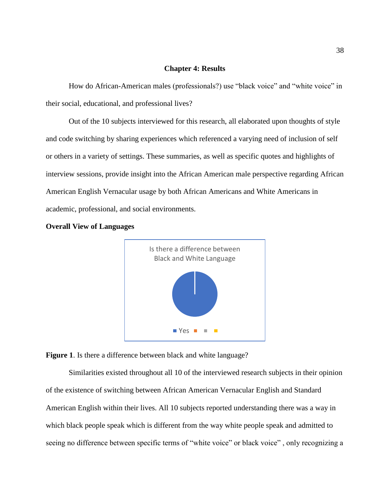## **Chapter 4: Results**

How do African-American males (professionals?) use "black voice" and "white voice" in their social, educational, and professional lives?

Out of the 10 subjects interviewed for this research, all elaborated upon thoughts of style and code switching by sharing experiences which referenced a varying need of inclusion of self or others in a variety of settings. These summaries, as well as specific quotes and highlights of interview sessions, provide insight into the African American male perspective regarding African American English Vernacular usage by both African Americans and White Americans in academic, professional, and social environments.







Similarities existed throughout all 10 of the interviewed research subjects in their opinion of the existence of switching between African American Vernacular English and Standard American English within their lives. All 10 subjects reported understanding there was a way in which black people speak which is different from the way white people speak and admitted to seeing no difference between specific terms of "white voice" or black voice", only recognizing a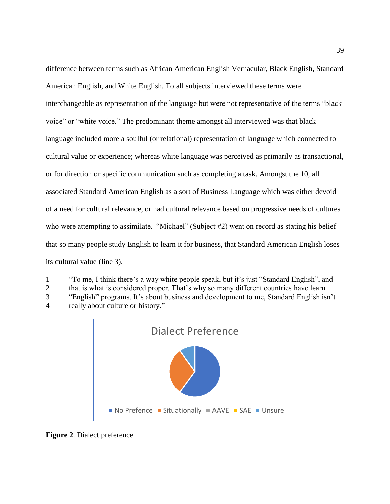difference between terms such as African American English Vernacular, Black English, Standard American English, and White English. To all subjects interviewed these terms were interchangeable as representation of the language but were not representative of the terms "black voice" or "white voice." The predominant theme amongst all interviewed was that black language included more a soulful (or relational) representation of language which connected to cultural value or experience; whereas white language was perceived as primarily as transactional, or for direction or specific communication such as completing a task. Amongst the 10, all associated Standard American English as a sort of Business Language which was either devoid of a need for cultural relevance, or had cultural relevance based on progressive needs of cultures who were attempting to assimilate. "Michael" (Subject #2) went on record as stating his belief that so many people study English to learn it for business, that Standard American English loses its cultural value (line 3).

1 "To me, I think there's a way white people speak, but it's just "Standard English", and

2 that is what is considered proper. That's why so many different countries have learn

3 "English" programs. It's about business and development to me, Standard English isn't 4 really about culture or history."



**Figure 2**. Dialect preference.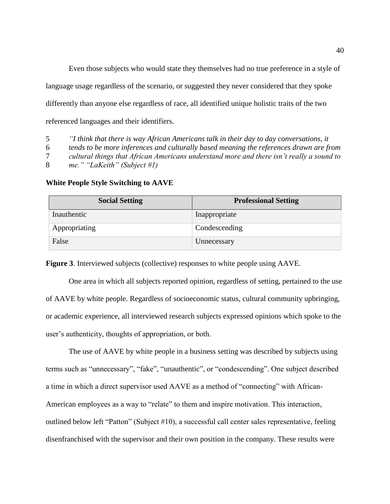Even those subjects who would state they themselves had no true preference in a style of language usage regardless of the scenario, or suggested they never considered that they spoke differently than anyone else regardless of race, all identified unique holistic traits of the two referenced languages and their identifiers.

5 *"I think that there is way African Americans talk in their day to day conversations, it*

6 *tends to be more inferences and culturally based meaning the references drawn are from* 

7 *cultural things that African Americans understand more and there isn't really a sound to*

8 *me." "LaKeith" (Subject #1)*

| <b>Social Setting</b> | <b>Professional Setting</b> |
|-----------------------|-----------------------------|
| Inauthentic           | Inappropriate               |
| Appropriating         | Condescending               |
| False                 | Unnecessary                 |

#### **White People Style Switching to AAVE**

**Figure 3**. Interviewed subjects (collective) responses to white people using AAVE.

One area in which all subjects reported opinion, regardless of setting, pertained to the use of AAVE by white people. Regardless of socioeconomic status, cultural community upbringing, or academic experience, all interviewed research subjects expressed opinions which spoke to the user's authenticity, thoughts of appropriation, or both.

The use of AAVE by white people in a business setting was described by subjects using terms such as "unnecessary", "fake", "unauthentic", or "condescending". One subject described a time in which a direct supervisor used AAVE as a method of "connecting" with African-American employees as a way to "relate" to them and inspire motivation. This interaction, outlined below left "Patton" (Subject #10), a successful call center sales representative, feeling disenfranchised with the supervisor and their own position in the company. These results were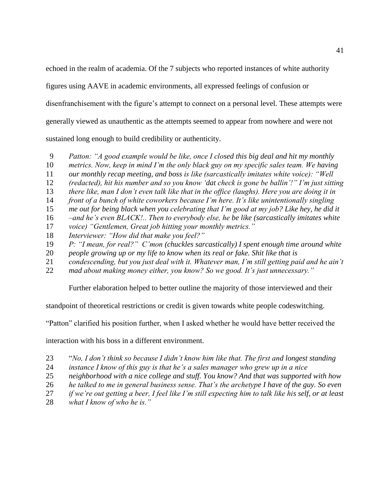echoed in the realm of academia. Of the 7 subjects who reported instances of white authority

figures using AAVE in academic environments, all expressed feelings of confusion or

disenfranchisement with the figure's attempt to connect on a personal level. These attempts were

generally viewed as unauthentic as the attempts seemed to appear from nowhere and were not

sustained long enough to build credibility or authenticity.

- 9 *Patton: "A good example would be like, once I closed this big deal and hit my monthly*
- *metrics. Now, keep in mind I'm the only black guy on my specific sales team. We having*
- *our monthly recap meeting, and boss is like (sarcastically imitates white voice): "Well*
- *(redacted), hit his number and so you know 'dat check is gone be ballin'!" I'm just sitting*
- *there like, man I don't even talk like that in the office (laughs). Here you are doing it in*
- *front of a bunch of white coworkers because I'm here. It's like unintentionally singling*
- *me out for being black when you celebrating that I'm good at my job? Like hey, he did it*
- *–and he's even BLACK!.. Then to everybody else, he be like (sarcastically imitates white*
- *voice) "Gentlemen, Great job hitting your monthly metrics."*
- *Interviewer: "How did that make you feel?"*
- *P: "I mean, for real?" C'mon (chuckles sarcastically) I spent enough time around white*
- *people growing up or my life to know when its real or fake. Shit like that is*
- *condescending, but you just deal with it. Whatever man, I'm still getting paid and he ain't*
- *mad about making money either, you know? So we good. It's just unnecessary."*

Further elaboration helped to better outline the majority of those interviewed and their

standpoint of theoretical restrictions or credit is given towards white people codeswitching.

"Patton" clarified his position further, when I asked whether he would have better received the

interaction with his boss in a different environment.

- "*No, I don't think so because I didn't know him like that. The first and longest standing*
- *instance I know of this guy is that he's a sales manager who grew up in a nice*
- *neighborhood with a nice college and stuff. You know? And that was supported with how*
- *he talked to me in general business sense. That's the archetype I have of the guy. So even*
- *if we're out getting a beer, I feel like I'm still expecting him to talk like his self, or at least*
- *what I know of who he is."*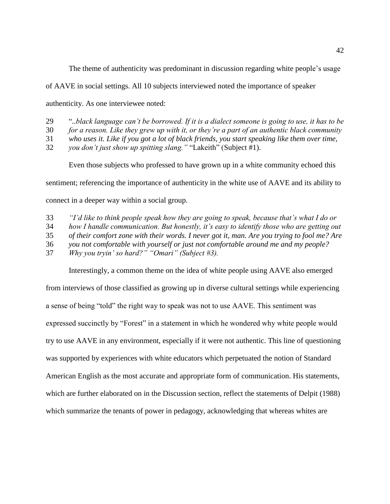The theme of authenticity was predominant in discussion regarding white people's usage

of AAVE in social settings. All 10 subjects interviewed noted the importance of speaker

authenticity. As one interviewee noted:

29 "*..black language can't be borrowed. If it is a dialect someone is going to use, it has to be*

30 *for a reason. Like they grew up with it, or they're a part of an authentic black community*

31 *who uses it. Like if you got a lot of black friends, you start speaking like them over time,*

32 *you don't just show up spitting slang."* "Lakeith" (Subject #1).

Even those subjects who professed to have grown up in a white community echoed this

sentiment; referencing the importance of authenticity in the white use of AAVE and its ability to

connect in a deeper way within a social group.

33 *"I'd like to think people speak how they are going to speak, because that's what I do or*

34 *how I handle communication. But honestly, it's easy to identify those who are getting out*

35 *of their comfort zone with their words. I never got it, man. Are you trying to fool me? Are*

36 *you not comfortable with yourself or just not comfortable around me and my people?* 

37 *Why you tryin' so hard?" "Omari" (Subject #3).*

Interestingly, a common theme on the idea of white people using AAVE also emerged

from interviews of those classified as growing up in diverse cultural settings while experiencing a sense of being "told" the right way to speak was not to use AAVE. This sentiment was expressed succinctly by "Forest" in a statement in which he wondered why white people would try to use AAVE in any environment, especially if it were not authentic. This line of questioning was supported by experiences with white educators which perpetuated the notion of Standard American English as the most accurate and appropriate form of communication. His statements, which are further elaborated on in the Discussion section, reflect the statements of Delpit (1988) which summarize the tenants of power in pedagogy, acknowledging that whereas whites are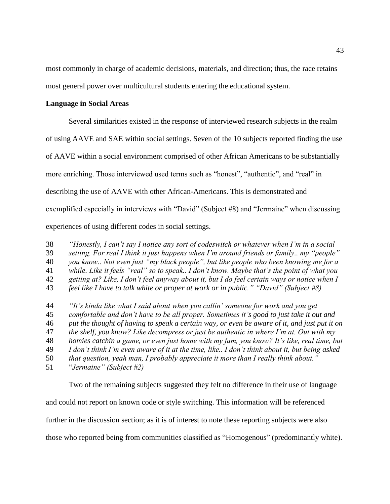most commonly in charge of academic decisions, materials, and direction; thus, the race retains most general power over multicultural students entering the educational system.

## **Language in Social Areas**

Several similarities existed in the response of interviewed research subjects in the realm of using AAVE and SAE within social settings. Seven of the 10 subjects reported finding the use of AAVE within a social environment comprised of other African Americans to be substantially more enriching. Those interviewed used terms such as "honest", "authentic", and "real" in describing the use of AAVE with other African-Americans. This is demonstrated and exemplified especially in interviews with "David" (Subject #8) and "Jermaine" when discussing experiences of using different codes in social settings.

38 *"Honestly, I can't say I notice any sort of codeswitch or whatever when I'm in a social*  39 *setting. For real I think it just happens when I'm around friends or family.. my "people"*

40 *you know.. Not even just "my black people", but like people who been knowing me for a* 

41 *while. Like it feels "real" so to speak.. I don't know. Maybe that's the point of what you*

- 42 *getting at? Like, I don't feel anyway about it, but I do feel certain ways or notice when I*
- 43 *feel like I have to talk white or proper at work or in public." "David" (Subject #8)*

 *"It's kinda like what I said about when you callin' someone for work and you get comfortable and don't have to be all proper. Sometimes it's good to just take it out and put the thought of having to speak a certain way, or even be aware of it, and just put it on the shelf, you know? Like decompress or just be authentic in where I'm at. Out with my homies catchin a game, or even just home with my fam, you know? It's like, real time, but I don't think I'm even aware of it at the time, like.. I don't think about it, but being asked that question, yeah man, I probably appreciate it more than I really think about."*  "*Jermaine" (Subject #2)*

Two of the remaining subjects suggested they felt no difference in their use of language and could not report on known code or style switching. This information will be referenced further in the discussion section; as it is of interest to note these reporting subjects were also those who reported being from communities classified as "Homogenous" (predominantly white).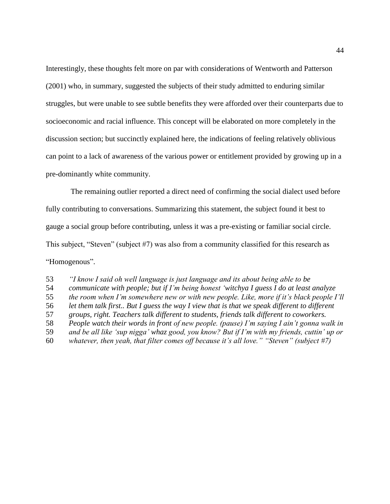Interestingly, these thoughts felt more on par with considerations of Wentworth and Patterson (2001) who, in summary, suggested the subjects of their study admitted to enduring similar struggles, but were unable to see subtle benefits they were afforded over their counterparts due to socioeconomic and racial influence. This concept will be elaborated on more completely in the discussion section; but succinctly explained here, the indications of feeling relatively oblivious can point to a lack of awareness of the various power or entitlement provided by growing up in a pre-dominantly white community.

The remaining outlier reported a direct need of confirming the social dialect used before fully contributing to conversations. Summarizing this statement, the subject found it best to gauge a social group before contributing, unless it was a pre-existing or familiar social circle. This subject, "Steven" (subject #7) was also from a community classified for this research as "Homogenous".

 *"I know I said oh well language is just language and its about being able to be communicate with people; but if I'm being honest 'witchya I guess I do at least analyze the room when I'm somewhere new or with new people. Like, more if it's black people I'll let them talk first.. But I guess the way I view that is that we speak different to different groups, right. Teachers talk different to students, friends talk different to coworkers. People watch their words in front of new people. (pause) I'm saying I ain't gonna walk in and be all like 'sup nigga' whaz good, you know? But if I'm with my friends, cuttin' up or whatever, then yeah, that filter comes off because it's all love." "Steven" (subject #7)*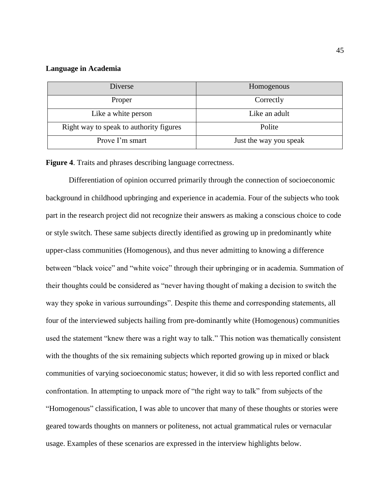## **Language in Academia**

| Diverse                                 | Homogenous             |  |
|-----------------------------------------|------------------------|--|
| Proper                                  | Correctly              |  |
| Like a white person                     | Like an adult          |  |
| Right way to speak to authority figures | Polite                 |  |
| Prove I'm smart                         | Just the way you speak |  |

**Figure 4**. Traits and phrases describing language correctness.

Differentiation of opinion occurred primarily through the connection of socioeconomic background in childhood upbringing and experience in academia. Four of the subjects who took part in the research project did not recognize their answers as making a conscious choice to code or style switch. These same subjects directly identified as growing up in predominantly white upper-class communities (Homogenous), and thus never admitting to knowing a difference between "black voice" and "white voice" through their upbringing or in academia. Summation of their thoughts could be considered as "never having thought of making a decision to switch the way they spoke in various surroundings". Despite this theme and corresponding statements, all four of the interviewed subjects hailing from pre-dominantly white (Homogenous) communities used the statement "knew there was a right way to talk." This notion was thematically consistent with the thoughts of the six remaining subjects which reported growing up in mixed or black communities of varying socioeconomic status; however, it did so with less reported conflict and confrontation. In attempting to unpack more of "the right way to talk" from subjects of the "Homogenous" classification, I was able to uncover that many of these thoughts or stories were geared towards thoughts on manners or politeness, not actual grammatical rules or vernacular usage. Examples of these scenarios are expressed in the interview highlights below.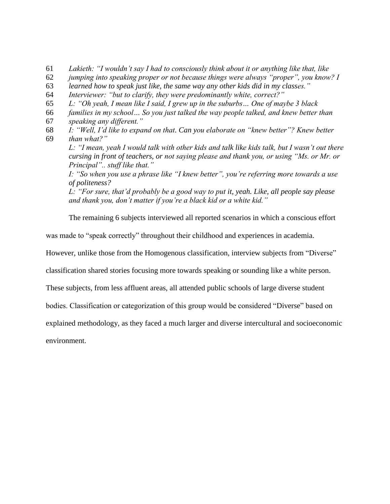61 *Lakieth: "I wouldn't say I had to consciously think about it or anything like that, like*

62 *jumping into speaking proper or not because things were always "proper", you know? I* 

- 63 *learned how to speak just like, the same way any other kids did in my classes."*
- 64 *Interviewer: "but to clarify, they were predominantly white, correct?"*
- 65 *L: "Oh yeah, I mean like I said, I grew up in the suburbs… One of maybe 3 black*
- 66 *families in my school… So you just talked the way people talked, and knew better than*
- 67 *speaking any different."*
- 68 *I: "Well, I'd like to expand on that. Can you elaborate on "knew better"? Knew better*  69 *than what?"*

*L: "I mean, yeah I would talk with other kids and talk like kids talk, but I wasn't out there cursing in front of teachers, or not saying please and thank you, or using "Ms. or Mr. or Principal".. stuff like that."*

*I: "So when you use a phrase like "I knew better", you're referring more towards a use of politeness?*

*L: "For sure, that'd probably be a good way to put it, yeah. Like, all people say please and thank you, don't matter if you're a black kid or a white kid."*

The remaining 6 subjects interviewed all reported scenarios in which a conscious effort

was made to "speak correctly" throughout their childhood and experiences in academia.

However, unlike those from the Homogenous classification, interview subjects from "Diverse"

classification shared stories focusing more towards speaking or sounding like a white person.

These subjects, from less affluent areas, all attended public schools of large diverse student

bodies. Classification or categorization of this group would be considered "Diverse" based on

explained methodology, as they faced a much larger and diverse intercultural and socioeconomic

environment.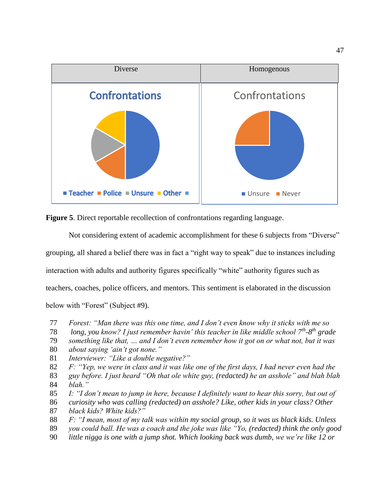



Not considering extent of academic accomplishment for these 6 subjects from "Diverse" grouping, all shared a belief there was in fact a "right way to speak" due to instances including interaction with adults and authority figures specifically "white" authority figures such as teachers, coaches, police officers, and mentors. This sentiment is elaborated in the discussion below with "Forest" (Subject #9).

- 77 *Forest: "Man there was this one time, and I don't even know why it sticks with me so*
- 78 *long, you know? I just remember havin' this teacher in like middle school 7th -8 th grade*
- 79 *something like that, … and I don't even remember how it got on or what not, but it was*
- 80 *about saying 'ain't got none."*
- 81 *Interviewer: "Like a double negative?"*
- 82 *F: "Yep, we were in class and it was like one of the first days, I had never even had the*
- 83 *guy before. I just heard "Oh that ole white guy, (redacted) he an asshole" and blah blah* 84 *blah."*
- 85 *I: "I don't mean to jump in here, because I definitely want to hear this sorry, but out of*
- 86 *curiosity who was calling (redacted) an asshole? Like, other kids in your class? Other*
- 87 *black kids? White kids?"*
- 88 *F: "I mean, most of my talk was within my social group, so it was us black kids. Unless*
- 89 *you could ball. He was a coach and the joke was like "Yo, (redacted) think the only good*
- 90 *little nigga is one with a jump shot. Which looking back was dumb, we we're like 12 or*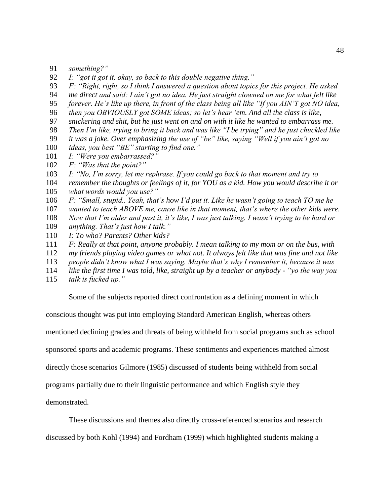- 91 *something?"*
- *I: "got it got it, okay, so back to this double negative thing."*
- *F: "Right, right, so I think I answered a question about topics for this project. He asked*
- *me direct and said: I ain't got no idea. He just straight clowned on me for what felt like*
- 95 *forever. He's like up there, in front of the class being all like "If you AIN'T got NO idea,*
- 96 *then you OBVIOUSLY got SOME ideas; so let's hear 'em. And all the class is like,*
- *snickering and shit, but he just went on and on with it like he wanted to embarrass me.*
- 98 *Then I'm like, trying to bring it back and was like "I be trying" and he just chuckled like*
- *it was a joke. Over emphasizing the use of "be" like, saying "Well if you ain't got no*
- *ideas, you best "BE" starting to find one."*
- *I: "Were you embarrassed?"*
- *F: "Was that the point?"*
- *I: "No, I'm sorry, let me rephrase. If you could go back to that moment and try to*
- *remember the thoughts or feelings of it, for YOU as a kid. How you would describe it or what words would you use?"*
- *F: "Small, stupid.. Yeah, that's how I'd put it. Like he wasn't going to teach TO me he*
- *wanted to teach ABOVE me, cause like in that moment, that's where the other kids were.*
- *Now that I'm older and past it, it's like, I was just talking. I wasn't trying to be hard or*
- *anything. That's just how I talk."*
- *I: To who? Parents? Other kids?*
- *F: Really at that point, anyone probably. I mean talking to my mom or on the bus, with*
- *my friends playing video games or what not. It always felt like that was fine and not like*
- *people didn't know what I was saying. Maybe that's why I remember it, because it was*
- *like the first time I was told, like, straight up by a teacher or anybody - "yo the way you*
- *talk is fucked up."*

Some of the subjects reported direct confrontation as a defining moment in which

conscious thought was put into employing Standard American English, whereas others

mentioned declining grades and threats of being withheld from social programs such as school

sponsored sports and academic programs. These sentiments and experiences matched almost

directly those scenarios Gilmore (1985) discussed of students being withheld from social

programs partially due to their linguistic performance and which English style they

demonstrated.

These discussions and themes also directly cross-referenced scenarios and research

discussed by both Kohl (1994) and Fordham (1999) which highlighted students making a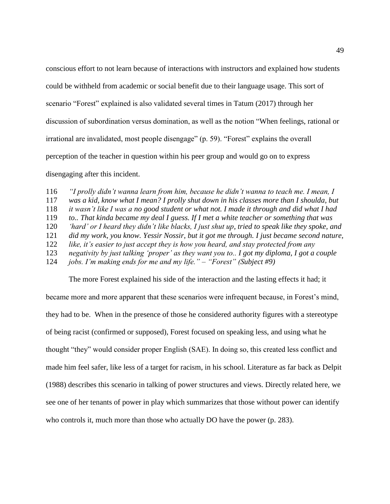conscious effort to not learn because of interactions with instructors and explained how students could be withheld from academic or social benefit due to their language usage. This sort of scenario "Forest" explained is also validated several times in Tatum (2017) through her discussion of subordination versus domination, as well as the notion "When feelings, rational or irrational are invalidated, most people disengage" (p. 59). "Forest" explains the overall perception of the teacher in question within his peer group and would go on to express disengaging after this incident.

 *"I prolly didn't wanna learn from him, because he didn't wanna to teach me. I mean, I was a kid, know what I mean? I prolly shut down in his classes more than I shoulda, but it wasn't like I was a no good student or what not. I made it through and did what I had to.. That kinda became my deal I guess. If I met a white teacher or something that was 'hard' or I heard they didn't like blacks, I just shut up, tried to speak like they spoke, and did my work, you know. Yessir Nossir, but it got me through. I just became second nature, like, it's easier to just accept they is how you heard, and stay protected from any negativity by just talking 'proper' as they want you to.. I got my diploma, I got a couple jobs. I'm making ends for me and my life." – "Forest" (Subject #9)*

The more Forest explained his side of the interaction and the lasting effects it had; it became more and more apparent that these scenarios were infrequent because, in Forest's mind, they had to be. When in the presence of those he considered authority figures with a stereotype of being racist (confirmed or supposed), Forest focused on speaking less, and using what he thought "they" would consider proper English (SAE). In doing so, this created less conflict and made him feel safer, like less of a target for racism, in his school. Literature as far back as Delpit (1988) describes this scenario in talking of power structures and views. Directly related here, we see one of her tenants of power in play which summarizes that those without power can identify who controls it, much more than those who actually DO have the power (p. 283).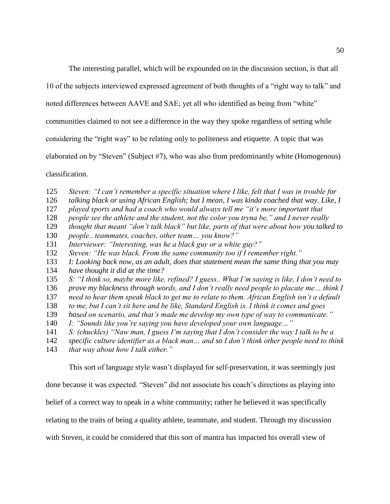The interesting parallel, which will be expounded on in the discussion section, is that all

10 of the subjects interviewed expressed agreement of both thoughts of a "right way to talk" and

noted differences between AAVE and SAE; yet all who identified as being from "white"

communities claimed to not see a difference in the way they spoke regardless of setting while

considering the "right way" to be relating only to politeness and etiquette. A topic that was

elaborated on by "Steven" (Subject #7), who was also from predominantly white (Homogenous)

classification.

- *Steven: "I can't remember a specific situation where I like, felt that I was in trouble for*
- *talking black or using African English; but I mean, I was kinda coached that way. Like, I*
- *played sports and had a coach who would always tell me "it's more important that*
- *people see the athlete and the student, not the color you tryna be," and I never really*
- *thought that meant "don't talk black" but like, parts of that were about how you talked to*

*people.. teammates, coaches, other team… you know?"*

- *Interviewer: "Interesting, was he a black guy or a white guy?"*
- *Steven: "He was black. From the same community too if I remember right."*
- *I: Looking back now, as an adult, does that statement mean the same thing that you may*
- *have thought it did at the time?*
- *S: "I think so, maybe more like, refined? I guess.. What I'm saying is like, I don't need to*
- *prove my blackness through words, and I don't really need people to placate me… think I*
- *need to hear them speak black to get me to relate to them. African English isn't a default*
- *to me, but I can't sit here and be like, Standard English is. I think it comes and goes*
- *based on scenario, and that's made me develop my own type of way to communicate."*
- *I: "Sounds like you're saying you have developed your own language…"*
- *S: (chuckles) "Naw man, I guess I'm saying that I don't consider the way I talk to be a*
- *specific culture identifier as a black man… and so I don't think other people need to think*
- *that way about how I talk either."*

This sort of language style wasn't displayed for self-preservation, it was seemingly just

done because it was expected. "Steven" did not associate his coach's directions as playing into

belief of a correct way to speak in a white community; rather he believed it was specifically

relating to the traits of being a quality athlete, teammate, and student. Through my discussion

with Steven, it could be considered that this sort of mantra has impacted his overall view of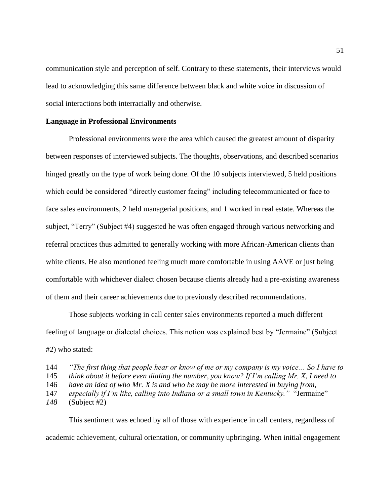communication style and perception of self. Contrary to these statements, their interviews would lead to acknowledging this same difference between black and white voice in discussion of social interactions both interracially and otherwise.

## **Language in Professional Environments**

Professional environments were the area which caused the greatest amount of disparity between responses of interviewed subjects. The thoughts, observations, and described scenarios hinged greatly on the type of work being done. Of the 10 subjects interviewed, 5 held positions which could be considered "directly customer facing" including telecommunicated or face to face sales environments, 2 held managerial positions, and 1 worked in real estate. Whereas the subject, "Terry" (Subject #4) suggested he was often engaged through various networking and referral practices thus admitted to generally working with more African-American clients than white clients. He also mentioned feeling much more comfortable in using AAVE or just being comfortable with whichever dialect chosen because clients already had a pre-existing awareness of them and their career achievements due to previously described recommendations.

Those subjects working in call center sales environments reported a much different feeling of language or dialectal choices. This notion was explained best by "Jermaine" (Subject #2) who stated:

This sentiment was echoed by all of those with experience in call centers, regardless of academic achievement, cultural orientation, or community upbringing. When initial engagement

<sup>144</sup> *"The first thing that people hear or know of me or my company is my voice… So I have to* 

<sup>145</sup> *think about it before even dialing the number, you know? If I'm calling Mr. X, I need to* 

<sup>146</sup> *have an idea of who Mr. X is and who he may be more interested in buying from,* 

<sup>147</sup> *especially if I'm like, calling into Indiana or a small town in Kentucky."* "Jermaine"

*<sup>148</sup>* (Subject #2)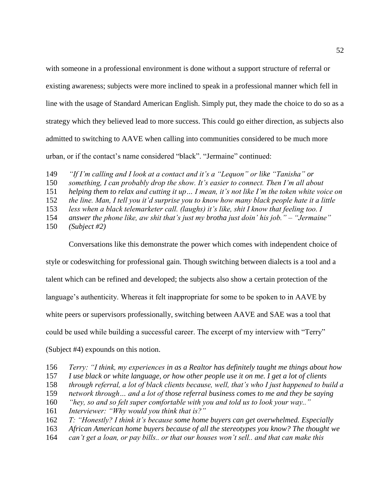with someone in a professional environment is done without a support structure of referral or existing awareness; subjects were more inclined to speak in a professional manner which fell in line with the usage of Standard American English. Simply put, they made the choice to do so as a strategy which they believed lead to more success. This could go either direction, as subjects also admitted to switching to AAVE when calling into communities considered to be much more urban, or if the contact's name considered "black". "Jermaine" continued:

149 *"If I'm calling and I look at a contact and it's a "Lequon" or like "Tanisha" or* 

150 *something, I can probably drop the show. It's easier to connect. Then I'm all about*

151 *helping them to relax and cutting it up… I mean, it's not like I'm the token white voice on* 

152 *the line. Man, I tell you it'd surprise you to know how many black people hate it a little* 

153 *less when a black telemarketer call. (laughs) it's like, shit I know that feeling too. I* 

- 154 *answer the phone like, aw shit that's just my brotha just doin' his job." – "Jermaine"*
- 150 *(Subject #2)*

Conversations like this demonstrate the power which comes with independent choice of

style or codeswitching for professional gain. Though switching between dialects is a tool and a

talent which can be refined and developed; the subjects also show a certain protection of the

language's authenticity. Whereas it felt inappropriate for some to be spoken to in AAVE by

white peers or supervisors professionally, switching between AAVE and SAE was a tool that

could be used while building a successful career. The excerpt of my interview with "Terry"

(Subject #4) expounds on this notion.

- 156 *Terry: "I think, my experiences in as a Realtor has definitely taught me things about how*
- 157 *I use black or white language, or how other people use it on me. I get a lot of clients*
- 158 *through referral, a lot of black clients because, well, that's who I just happened to build a*
- 159 *network through… and a lot of those referral business comes to me and they be saying*
- 160 *"hey, so and so felt super comfortable with you and told us to look your way.."*
- 161 *Interviewer: "Why would you think that is?"*
- 162 *T: "Honestly? I think it's because some home buyers can get overwhelmed. Especially*
- 163 *African American home buyers because of all the stereotypes you know? The thought we*
- 164 *can't get a loan, or pay bills.. or that our houses won't sell.. and that can make this*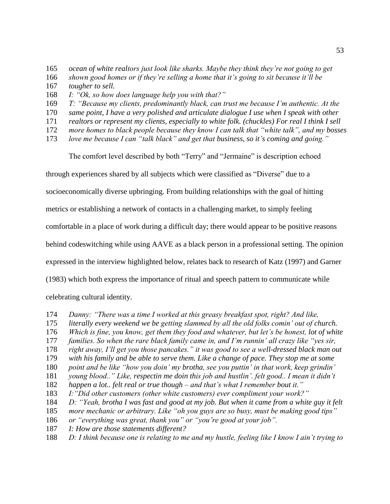- *ocean of white realtors just look like sharks. Maybe they think they're not going to get*
- *shown good homes or if they're selling a home that it's going to sit because it'll be*
- *tougher to sell.*
- *I: "Ok, so how does language help you with that?"*
- *T: "Because my clients, predominantly black, can trust me because I'm authentic. At the*
- *same point, I have a very polished and articulate dialogue I use when I speak with other*
- *realtors or represent my clients, especially to white folk. (chuckles) For real I think I sell*
- *more homes to black people because they know I can talk that "white talk", and my bosses*
- *love me because I can "talk black" and get that business, so it's coming and going."*

The comfort level described by both "Terry" and "Jermaine" is description echoed

through experiences shared by all subjects which were classified as "Diverse" due to a

socioeconomically diverse upbringing. From building relationships with the goal of hitting

metrics or establishing a network of contacts in a challenging market, to simply feeling

comfortable in a place of work during a difficult day; there would appear to be positive reasons

behind codeswitching while using AAVE as a black person in a professional setting. The opinion

expressed in the interview highlighted below, relates back to research of Katz (1997) and Garner

(1983) which both express the importance of ritual and speech pattern to communicate while

celebrating cultural identity.

- *Danny: "There was a time I worked at this greasy breakfast spot, right? And like,*
- *literally every weekend we be getting slammed by all the old folks comin' out of church.*
- *Which is fine, you know, get them they food and whatever, but let's be honest, lot of white*
- *families. So when the rare black family came in, and I'm runnin' all crazy like "yes sir,*
- *right away, I'll get you those pancakes." it was good to see a well-dressed black man out*
- *with his family and be able to serve them. Like a change of pace. They stop me at some*
- *point and be like "how you doin' my brotha, see you puttin' in that work, keep grindin'*
- *young blood.." Like, respectin me doin this job and hustlin'. felt good.. I mean it didn't*
- *happen a lot.. felt real or true though – and that's what I remember bout it."*
- *I:"Did other customers (other white customers) ever compliment your work?"*
- *D: "Yeah, brotha I was fast and good at my job. But when it came from a white guy it felt*
- *more mechanic or arbitrary. Like "oh you guys are so busy, must be making good tips"*
- *or "everything was great, thank you" or "you're good at your job".*
- *I: How are those statements different?*
- *D: I think because one is relating to me and my hustle, feeling like I know I ain't trying to*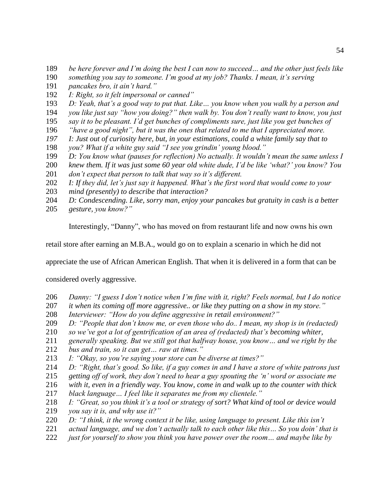- *be here forever and I'm doing the best I can now to succeed… and the other just feels like*
- *something you say to someone. I'm good at my job? Thanks. I mean, it's serving*
- *pancakes bro, it ain't hard."*
- *I: Right, so it felt impersonal or canned"*
- *D: Yeah, that's a good way to put that. Like… you know when you walk by a person and*
- *you like just say "how you doing?" then walk by. You don't really want to know, you just*
- *say it to be pleasant. I'd get bunches of compliments sure, just like you get bunches of*
- *"have a good night", but it was the ones that related to me that I appreciated more.*
- *I: Just out of curiosity here, but, in your estimations, could a white family say that to*
- *you? What if a white guy said "I see you grindin' young blood."*
- *D: You know what (pauses for reflection) No actually. It wouldn't mean the same unless I*
- *knew them. If it was just some 60 year old white dude, I'd be like 'what?' you know? You*
- *don't expect that person to talk that way so it's different.*
- *I: If they did, let's just say it happened. What's the first word that would come to your*
- mind (presently) to describe that interaction?
- *D: Condescending. Like, sorry man, enjoy your pancakes but gratuity in cash is a better*
- *gesture, you know?"*

Interestingly, "Danny", who has moved on from restaurant life and now owns his own

retail store after earning an M.B.A., would go on to explain a scenario in which he did not

appreciate the use of African American English. That when it is delivered in a form that can be

considered overly aggressive.

- *Danny: "I guess I don't notice when I'm fine with it, right? Feels normal, but I do notice*
- *it when its coming off more aggressive.. or like they putting on a show in my store."*
- *Interviewer: "How do you define aggressive in retail environment?"*
- *D: "People that don't know me, or even those who do.. I mean, my shop is in (redacted)*
- *so we've got a lot of gentrification of an area of (redacted) that's becoming whiter,*
- *generally speaking. But we still got that halfway house, you know… and we right by the*
- *bus and train, so it can get… raw at times."*
- *I: "Okay, so you're saying your store can be diverse at times?"*
- *D: "Right, that's good. So like, if a guy comes in and I have a store of white patrons just*
- *getting off of work, they don't need to hear a guy spouting the 'n' word or associate me*

*with it, even in a friendly way. You know, come in and walk up to the counter with thick* 

- *black language… I feel like it separates me from my clientele."*
- *I: "Great, so you think it's a tool or strategy of sort? What kind of tool or device would*
- *you say it is, and why use it?"*
- *D: "I think, it the wrong context it be like, using language to present. Like this isn't*
- *actual language, and we don't actually talk to each other like this… So you doin' that is*
- *just for yourself to show you think you have power over the room… and maybe like by*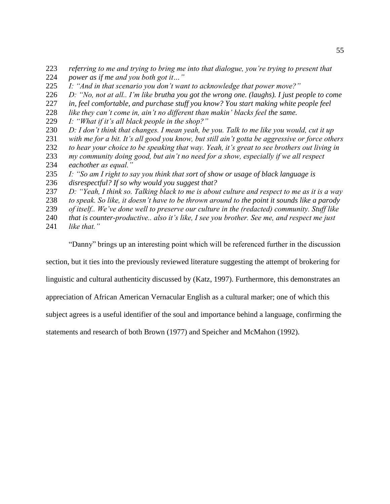- *referring to me and trying to bring me into that dialogue, you're trying to present that power as if me and you both got it…"*
- 
- *I: "And in that scenario you don't want to acknowledge that power move?"*
- *D: "No, not at all.. I'm like brutha you got the wrong one. (laughs). I just people to come*
- *in, feel comfortable, and purchase stuff you know? You start making white people feel*
- *like they can't come in, ain't no different than makin' blacks feel the same.*
- *I: "What if it's all black people in the shop?"*
- *D: I don't think that changes. I mean yeah, be you. Talk to me like you would, cut it up*
- *with me for a bit. It's all good you know, but still ain't gotta be aggressive or force others*
- *to hear your choice to be speaking that way. Yeah, it's great to see brothers out living in*
- *my community doing good, but ain't no need for a show, especially if we all respect eachother as equal."*
- *I: "So am I right to say you think that sort of show or usage of black language is*
- *disrespectful? If so why would you suggest that?*
- *D: "Yeah, I think so. Talking black to me is about culture and respect to me as it is a way*
- *to speak. So like, it doesn't have to be thrown around to the point it sounds like a parody*
- *of itself.. We've done well to preserve our culture in the (redacted) community. Stuff like*
- *that is counter-productive.. also it's like, I see you brother. See me, and respect me just*
- *like that."*

"Danny" brings up an interesting point which will be referenced further in the discussion

section, but it ties into the previously reviewed literature suggesting the attempt of brokering for

linguistic and cultural authenticity discussed by (Katz, 1997). Furthermore, this demonstrates an

appreciation of African American Vernacular English as a cultural marker; one of which this

subject agrees is a useful identifier of the soul and importance behind a language, confirming the

statements and research of both Brown (1977) and Speicher and McMahon (1992).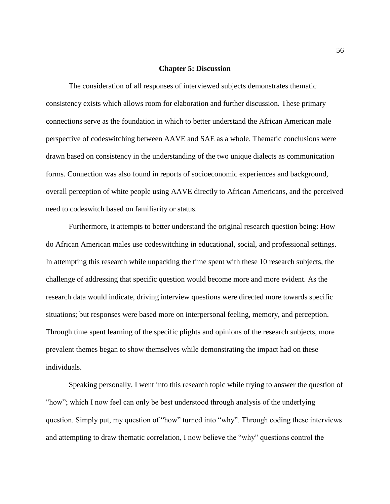#### **Chapter 5: Discussion**

The consideration of all responses of interviewed subjects demonstrates thematic consistency exists which allows room for elaboration and further discussion. These primary connections serve as the foundation in which to better understand the African American male perspective of codeswitching between AAVE and SAE as a whole. Thematic conclusions were drawn based on consistency in the understanding of the two unique dialects as communication forms. Connection was also found in reports of socioeconomic experiences and background, overall perception of white people using AAVE directly to African Americans, and the perceived need to codeswitch based on familiarity or status.

Furthermore, it attempts to better understand the original research question being: How do African American males use codeswitching in educational, social, and professional settings. In attempting this research while unpacking the time spent with these 10 research subjects, the challenge of addressing that specific question would become more and more evident. As the research data would indicate, driving interview questions were directed more towards specific situations; but responses were based more on interpersonal feeling, memory, and perception. Through time spent learning of the specific plights and opinions of the research subjects, more prevalent themes began to show themselves while demonstrating the impact had on these individuals.

Speaking personally, I went into this research topic while trying to answer the question of "how"; which I now feel can only be best understood through analysis of the underlying question. Simply put, my question of "how" turned into "why". Through coding these interviews and attempting to draw thematic correlation, I now believe the "why" questions control the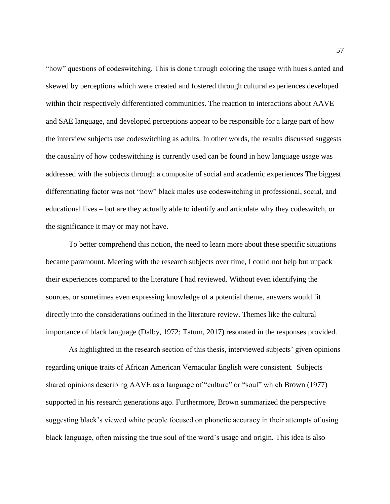"how" questions of codeswitching. This is done through coloring the usage with hues slanted and skewed by perceptions which were created and fostered through cultural experiences developed within their respectively differentiated communities. The reaction to interactions about AAVE and SAE language, and developed perceptions appear to be responsible for a large part of how the interview subjects use codeswitching as adults. In other words, the results discussed suggests the causality of how codeswitching is currently used can be found in how language usage was addressed with the subjects through a composite of social and academic experiences The biggest differentiating factor was not "how" black males use codeswitching in professional, social, and educational lives – but are they actually able to identify and articulate why they codeswitch, or the significance it may or may not have.

To better comprehend this notion, the need to learn more about these specific situations became paramount. Meeting with the research subjects over time, I could not help but unpack their experiences compared to the literature I had reviewed. Without even identifying the sources, or sometimes even expressing knowledge of a potential theme, answers would fit directly into the considerations outlined in the literature review. Themes like the cultural importance of black language (Dalby, 1972; Tatum, 2017) resonated in the responses provided.

As highlighted in the research section of this thesis, interviewed subjects' given opinions regarding unique traits of African American Vernacular English were consistent. Subjects shared opinions describing AAVE as a language of "culture" or "soul" which Brown (1977) supported in his research generations ago. Furthermore, Brown summarized the perspective suggesting black's viewed white people focused on phonetic accuracy in their attempts of using black language, often missing the true soul of the word's usage and origin. This idea is also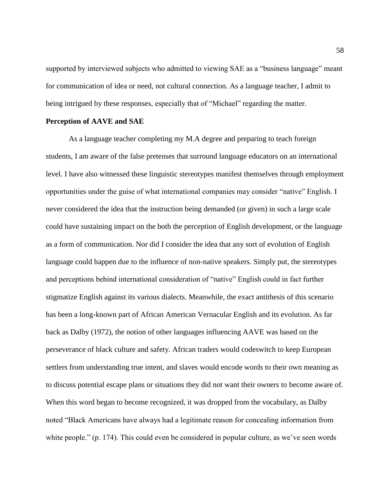supported by interviewed subjects who admitted to viewing SAE as a "business language" meant for communication of idea or need, not cultural connection. As a language teacher, I admit to being intrigued by these responses, especially that of "Michael" regarding the matter.

#### **Perception of AAVE and SAE**

As a language teacher completing my M.A degree and preparing to teach foreign students, I am aware of the false pretenses that surround language educators on an international level. I have also witnessed these linguistic stereotypes manifest themselves through employment opportunities under the guise of what international companies may consider "native" English. I never considered the idea that the instruction being demanded (or given) in such a large scale could have sustaining impact on the both the perception of English development, or the language as a form of communication. Nor did I consider the idea that any sort of evolution of English language could happen due to the influence of non-native speakers. Simply put, the stereotypes and perceptions behind international consideration of "native" English could in fact further stigmatize English against its various dialects. Meanwhile, the exact antithesis of this scenario has been a long-known part of African American Vernacular English and its evolution. As far back as Dalby (1972), the notion of other languages influencing AAVE was based on the perseverance of black culture and safety. African traders would codeswitch to keep European settlers from understanding true intent, and slaves would encode words to their own meaning as to discuss potential escape plans or situations they did not want their owners to become aware of. When this word began to become recognized, it was dropped from the vocabulary, as Dalby noted "Black Americans have always had a legitimate reason for concealing information from white people." (p. 174). This could even be considered in popular culture, as we've seen words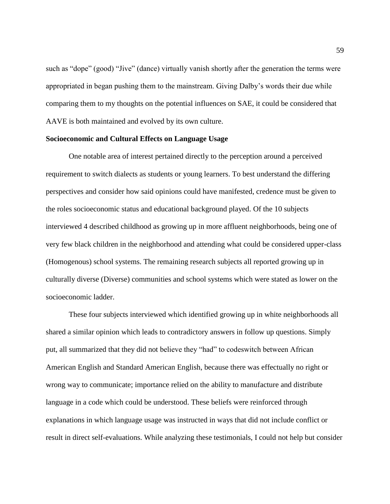such as "dope" (good) "Jive" (dance) virtually vanish shortly after the generation the terms were appropriated in began pushing them to the mainstream. Giving Dalby's words their due while comparing them to my thoughts on the potential influences on SAE, it could be considered that AAVE is both maintained and evolved by its own culture.

## **Socioeconomic and Cultural Effects on Language Usage**

One notable area of interest pertained directly to the perception around a perceived requirement to switch dialects as students or young learners. To best understand the differing perspectives and consider how said opinions could have manifested, credence must be given to the roles socioeconomic status and educational background played. Of the 10 subjects interviewed 4 described childhood as growing up in more affluent neighborhoods, being one of very few black children in the neighborhood and attending what could be considered upper-class (Homogenous) school systems. The remaining research subjects all reported growing up in culturally diverse (Diverse) communities and school systems which were stated as lower on the socioeconomic ladder.

These four subjects interviewed which identified growing up in white neighborhoods all shared a similar opinion which leads to contradictory answers in follow up questions. Simply put, all summarized that they did not believe they "had" to codeswitch between African American English and Standard American English, because there was effectually no right or wrong way to communicate; importance relied on the ability to manufacture and distribute language in a code which could be understood. These beliefs were reinforced through explanations in which language usage was instructed in ways that did not include conflict or result in direct self-evaluations. While analyzing these testimonials, I could not help but consider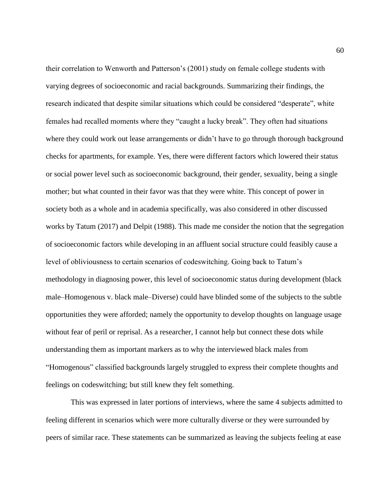their correlation to Wenworth and Patterson's (2001) study on female college students with varying degrees of socioeconomic and racial backgrounds. Summarizing their findings, the research indicated that despite similar situations which could be considered "desperate", white females had recalled moments where they "caught a lucky break". They often had situations where they could work out lease arrangements or didn't have to go through thorough background checks for apartments, for example. Yes, there were different factors which lowered their status or social power level such as socioeconomic background, their gender, sexuality, being a single mother; but what counted in their favor was that they were white. This concept of power in society both as a whole and in academia specifically, was also considered in other discussed works by Tatum (2017) and Delpit (1988). This made me consider the notion that the segregation of socioeconomic factors while developing in an affluent social structure could feasibly cause a level of obliviousness to certain scenarios of codeswitching. Going back to Tatum's methodology in diagnosing power, this level of socioeconomic status during development (black male–Homogenous v. black male–Diverse) could have blinded some of the subjects to the subtle opportunities they were afforded; namely the opportunity to develop thoughts on language usage without fear of peril or reprisal. As a researcher, I cannot help but connect these dots while understanding them as important markers as to why the interviewed black males from "Homogenous" classified backgrounds largely struggled to express their complete thoughts and feelings on codeswitching; but still knew they felt something.

This was expressed in later portions of interviews, where the same 4 subjects admitted to feeling different in scenarios which were more culturally diverse or they were surrounded by peers of similar race. These statements can be summarized as leaving the subjects feeling at ease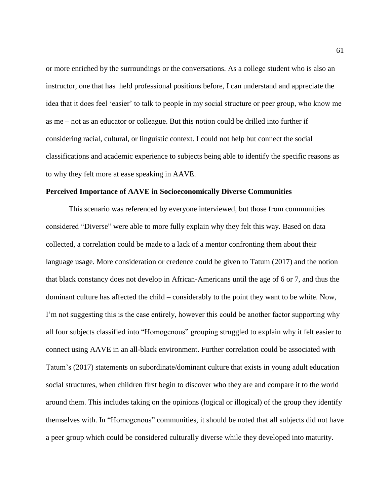or more enriched by the surroundings or the conversations. As a college student who is also an instructor, one that has held professional positions before, I can understand and appreciate the idea that it does feel 'easier' to talk to people in my social structure or peer group, who know me as me – not as an educator or colleague. But this notion could be drilled into further if considering racial, cultural, or linguistic context. I could not help but connect the social classifications and academic experience to subjects being able to identify the specific reasons as to why they felt more at ease speaking in AAVE.

#### **Perceived Importance of AAVE in Socioeconomically Diverse Communities**

This scenario was referenced by everyone interviewed, but those from communities considered "Diverse" were able to more fully explain why they felt this way. Based on data collected, a correlation could be made to a lack of a mentor confronting them about their language usage. More consideration or credence could be given to Tatum (2017) and the notion that black constancy does not develop in African-Americans until the age of 6 or 7, and thus the dominant culture has affected the child – considerably to the point they want to be white. Now, I'm not suggesting this is the case entirely, however this could be another factor supporting why all four subjects classified into "Homogenous" grouping struggled to explain why it felt easier to connect using AAVE in an all-black environment. Further correlation could be associated with Tatum's (2017) statements on subordinate/dominant culture that exists in young adult education social structures, when children first begin to discover who they are and compare it to the world around them. This includes taking on the opinions (logical or illogical) of the group they identify themselves with. In "Homogenous" communities, it should be noted that all subjects did not have a peer group which could be considered culturally diverse while they developed into maturity.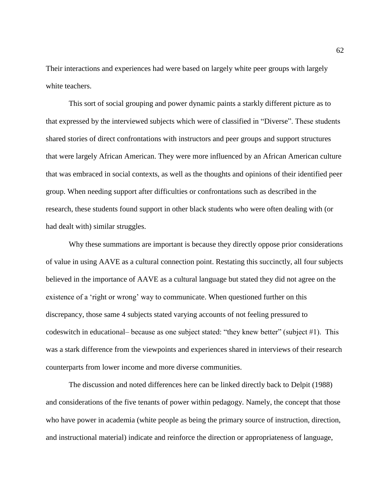Their interactions and experiences had were based on largely white peer groups with largely white teachers.

This sort of social grouping and power dynamic paints a starkly different picture as to that expressed by the interviewed subjects which were of classified in "Diverse". These students shared stories of direct confrontations with instructors and peer groups and support structures that were largely African American. They were more influenced by an African American culture that was embraced in social contexts, as well as the thoughts and opinions of their identified peer group. When needing support after difficulties or confrontations such as described in the research, these students found support in other black students who were often dealing with (or had dealt with) similar struggles.

Why these summations are important is because they directly oppose prior considerations of value in using AAVE as a cultural connection point. Restating this succinctly, all four subjects believed in the importance of AAVE as a cultural language but stated they did not agree on the existence of a 'right or wrong' way to communicate. When questioned further on this discrepancy, those same 4 subjects stated varying accounts of not feeling pressured to codeswitch in educational– because as one subject stated: "they knew better" (subject #1). This was a stark difference from the viewpoints and experiences shared in interviews of their research counterparts from lower income and more diverse communities.

The discussion and noted differences here can be linked directly back to Delpit (1988) and considerations of the five tenants of power within pedagogy. Namely, the concept that those who have power in academia (white people as being the primary source of instruction, direction, and instructional material) indicate and reinforce the direction or appropriateness of language,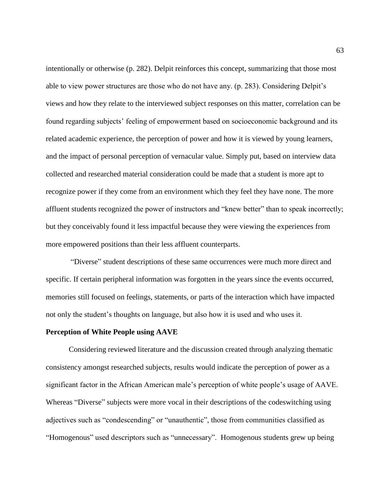intentionally or otherwise (p. 282). Delpit reinforces this concept, summarizing that those most able to view power structures are those who do not have any. (p. 283). Considering Delpit's views and how they relate to the interviewed subject responses on this matter, correlation can be found regarding subjects' feeling of empowerment based on socioeconomic background and its related academic experience, the perception of power and how it is viewed by young learners, and the impact of personal perception of vernacular value. Simply put, based on interview data collected and researched material consideration could be made that a student is more apt to recognize power if they come from an environment which they feel they have none. The more affluent students recognized the power of instructors and "knew better" than to speak incorrectly; but they conceivably found it less impactful because they were viewing the experiences from more empowered positions than their less affluent counterparts.

"Diverse" student descriptions of these same occurrences were much more direct and specific. If certain peripheral information was forgotten in the years since the events occurred, memories still focused on feelings, statements, or parts of the interaction which have impacted not only the student's thoughts on language, but also how it is used and who uses it.

### **Perception of White People using AAVE**

Considering reviewed literature and the discussion created through analyzing thematic consistency amongst researched subjects, results would indicate the perception of power as a significant factor in the African American male's perception of white people's usage of AAVE. Whereas "Diverse" subjects were more vocal in their descriptions of the codeswitching using adjectives such as "condescending" or "unauthentic", those from communities classified as "Homogenous" used descriptors such as "unnecessary". Homogenous students grew up being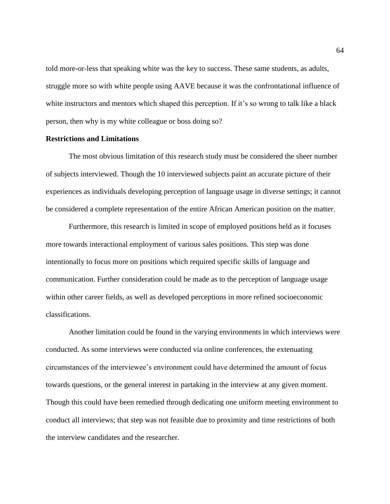told more-or-less that speaking white was the key to success. These same students, as adults, struggle more so with white people using AAVE because it was the confrontational influence of white instructors and mentors which shaped this perception. If it's so wrong to talk like a black person, then why is my white colleague or boss doing so?

#### **Restrictions and Limitations**

The most obvious limitation of this research study must be considered the sheer number of subjects interviewed. Though the 10 interviewed subjects paint an accurate picture of their experiences as individuals developing perception of language usage in diverse settings; it cannot be considered a complete representation of the entire African American position on the matter.

Furthermore, this research is limited in scope of employed positions held as it focuses more towards interactional employment of various sales positions. This step was done intentionally to focus more on positions which required specific skills of language and communication. Further consideration could be made as to the perception of language usage within other career fields, as well as developed perceptions in more refined socioeconomic classifications.

Another limitation could be found in the varying environments in which interviews were conducted. As some interviews were conducted via online conferences, the extenuating circumstances of the interviewee's environment could have determined the amount of focus towards questions, or the general interest in partaking in the interview at any given moment. Though this could have been remedied through dedicating one uniform meeting environment to conduct all interviews; that step was not feasible due to proximity and time restrictions of both the interview candidates and the researcher.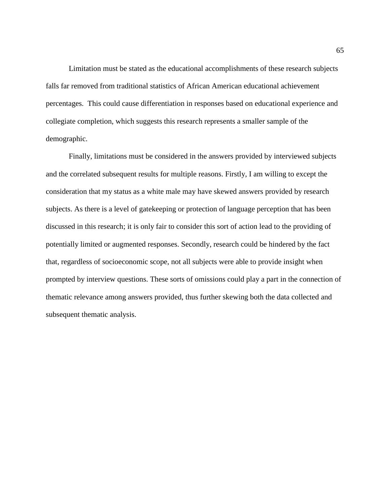Limitation must be stated as the educational accomplishments of these research subjects falls far removed from traditional statistics of African American educational achievement percentages. This could cause differentiation in responses based on educational experience and collegiate completion, which suggests this research represents a smaller sample of the demographic.

Finally, limitations must be considered in the answers provided by interviewed subjects and the correlated subsequent results for multiple reasons. Firstly, I am willing to except the consideration that my status as a white male may have skewed answers provided by research subjects. As there is a level of gatekeeping or protection of language perception that has been discussed in this research; it is only fair to consider this sort of action lead to the providing of potentially limited or augmented responses. Secondly, research could be hindered by the fact that, regardless of socioeconomic scope, not all subjects were able to provide insight when prompted by interview questions. These sorts of omissions could play a part in the connection of thematic relevance among answers provided, thus further skewing both the data collected and subsequent thematic analysis.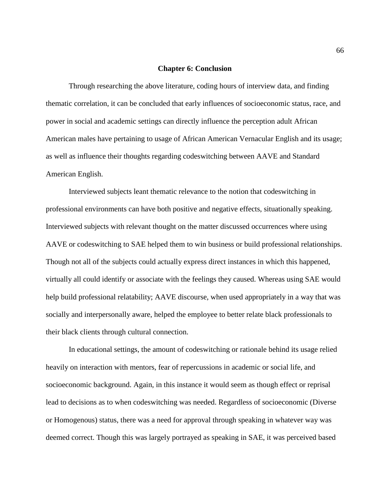#### **Chapter 6: Conclusion**

Through researching the above literature, coding hours of interview data, and finding thematic correlation, it can be concluded that early influences of socioeconomic status, race, and power in social and academic settings can directly influence the perception adult African American males have pertaining to usage of African American Vernacular English and its usage; as well as influence their thoughts regarding codeswitching between AAVE and Standard American English.

Interviewed subjects leant thematic relevance to the notion that codeswitching in professional environments can have both positive and negative effects, situationally speaking. Interviewed subjects with relevant thought on the matter discussed occurrences where using AAVE or codeswitching to SAE helped them to win business or build professional relationships. Though not all of the subjects could actually express direct instances in which this happened, virtually all could identify or associate with the feelings they caused. Whereas using SAE would help build professional relatability; AAVE discourse, when used appropriately in a way that was socially and interpersonally aware, helped the employee to better relate black professionals to their black clients through cultural connection.

In educational settings, the amount of codeswitching or rationale behind its usage relied heavily on interaction with mentors, fear of repercussions in academic or social life, and socioeconomic background. Again, in this instance it would seem as though effect or reprisal lead to decisions as to when codeswitching was needed. Regardless of socioeconomic (Diverse or Homogenous) status, there was a need for approval through speaking in whatever way was deemed correct. Though this was largely portrayed as speaking in SAE, it was perceived based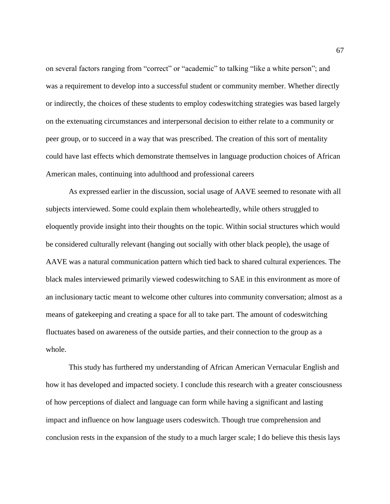on several factors ranging from "correct" or "academic" to talking "like a white person"; and was a requirement to develop into a successful student or community member. Whether directly or indirectly, the choices of these students to employ codeswitching strategies was based largely on the extenuating circumstances and interpersonal decision to either relate to a community or peer group, or to succeed in a way that was prescribed. The creation of this sort of mentality could have last effects which demonstrate themselves in language production choices of African American males, continuing into adulthood and professional careers

As expressed earlier in the discussion, social usage of AAVE seemed to resonate with all subjects interviewed. Some could explain them wholeheartedly, while others struggled to eloquently provide insight into their thoughts on the topic. Within social structures which would be considered culturally relevant (hanging out socially with other black people), the usage of AAVE was a natural communication pattern which tied back to shared cultural experiences. The black males interviewed primarily viewed codeswitching to SAE in this environment as more of an inclusionary tactic meant to welcome other cultures into community conversation; almost as a means of gatekeeping and creating a space for all to take part. The amount of codeswitching fluctuates based on awareness of the outside parties, and their connection to the group as a whole.

This study has furthered my understanding of African American Vernacular English and how it has developed and impacted society. I conclude this research with a greater consciousness of how perceptions of dialect and language can form while having a significant and lasting impact and influence on how language users codeswitch. Though true comprehension and conclusion rests in the expansion of the study to a much larger scale; I do believe this thesis lays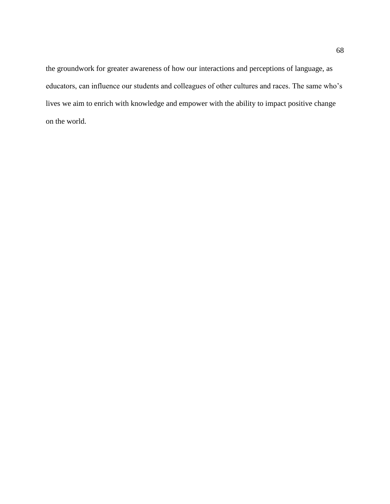the groundwork for greater awareness of how our interactions and perceptions of language, as educators, can influence our students and colleagues of other cultures and races. The same who's lives we aim to enrich with knowledge and empower with the ability to impact positive change on the world.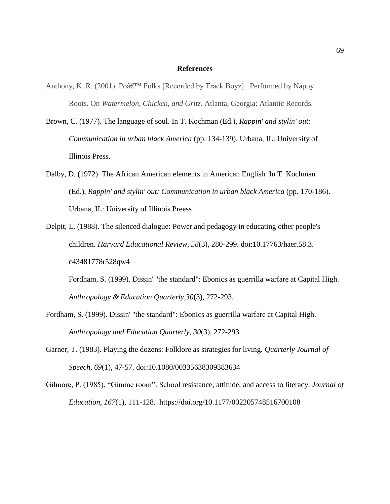#### **References**

- Anthony, K. R. (2001). Po $\hat{\mathcal{A}}$  Folks [Recorded by Track Boyz]. Performed by Nappy Roots. On *Watermelon, Chicken, and Gritz*. Atlanta, Georgia: Atlantic Records.
- Brown, C. (1977). The language of soul. In T. Kochman (Ed.), *Rappin' and stylin' out: Communication in urban black America* (pp. 134-139). Urbana, IL: University of Illinois Press.
- Dalby, D. (1972). The African American elements in American English. In T. Kochman (Ed.), *Rappin' and stylin' out: Communication in urban black America* (pp. 170-186). Urbana, IL: University of Illinois Preess
- Delpit, L. (1988). The silenced dialogue: Power and pedagogy in educating other people's children. *Harvard Educational Review*, *58*(3), 280-299. doi:10.17763/haer.58.3. c43481778r528qw4

Fordham, S. (1999). Dissin' "the standard": Ebonics as guerrilla warfare at Capital High. *Anthropology & Education Quarterly,30*(3), 272-293.

- Fordham, S. (1999). Dissin' "the standard": Ebonics as guerrilla warfare at Capital High. *Anthropology and Education Quarterly, 30*(3), 272-293.
- Garner, T. (1983). Playing the dozens: Folklore as strategies for living. *Quarterly Journal of Speech*, *69*(1), 47-57. doi:10.1080/00335638309383634
- Gilmore, P. (1985). "Gimme room": School resistance, attitude, and access to literacy. *Journal of Education*, *167*(1), 111-128. <https://doi.org/10.1177/002205748516700108>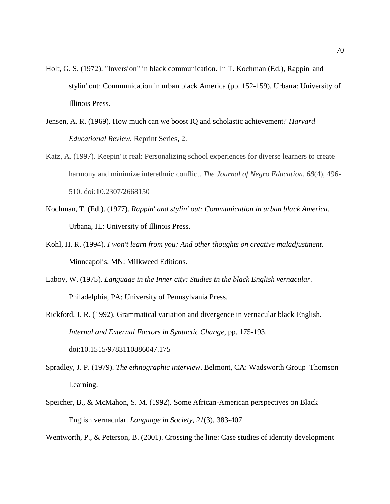- Holt, G. S. (1972). "Inversion" in black communication. In T. Kochman (Ed.), Rappin' and stylin' out: Communication in urban black America (pp. 152-159). Urbana: University of Illinois Press.
- Jensen, A. R. (1969). How much can we boost IQ and scholastic achievement? *Harvard Educational Review*, Reprint Series, 2.
- Katz, A. (1997). Keepin' it real: Personalizing school experiences for diverse learners to create harmony and minimize interethnic conflict. *The Journal of Negro Education, 68*(4), 496- 510. doi:10.2307/2668150
- Kochman, T. (Ed.). (1977). *Rappin' and stylin' out: Communication in urban black America.*  Urbana, IL: University of Illinois Press.
- Kohl, H. R. (1994). *I won't learn from you: And other thoughts on creative maladjustment*. Minneapolis, MN: Milkweed Editions.
- Labov, W. (1975). *Language in the Inner city: Studies in the black English vernacular*. Philadelphia, PA: University of Pennsylvania Press.
- Rickford, J. R. (1992). Grammatical variation and divergence in vernacular black English. *Internal and External Factors in Syntactic Change*, pp. 175-193. doi:10.1515/9783110886047.175
- Spradley, J. P. (1979). *The ethnographic interview*. Belmont, CA: Wadsworth Group–Thomson Learning.
- Speicher, B., & McMahon, S. M. (1992). Some African-American perspectives on Black English vernacular. *Language in Society, 21*(3), 383-407.

Wentworth, P., & Peterson, B. (2001). Crossing the line: Case studies of identity development